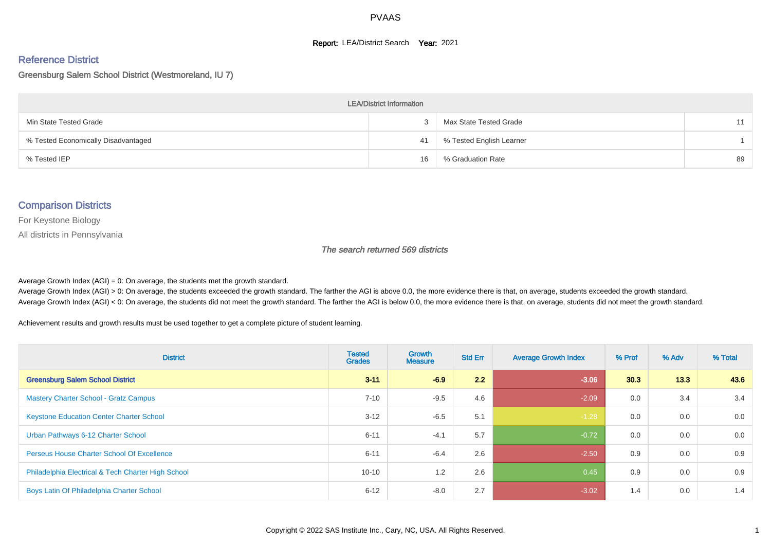#### **Report: LEA/District Search Year: 2021**

# Reference District

#### Greensburg Salem School District (Westmoreland, IU 7)

| <b>LEA/District Information</b>     |    |                          |    |  |  |  |  |  |  |  |
|-------------------------------------|----|--------------------------|----|--|--|--|--|--|--|--|
| Min State Tested Grade              |    | Max State Tested Grade   |    |  |  |  |  |  |  |  |
| % Tested Economically Disadvantaged | 41 | % Tested English Learner |    |  |  |  |  |  |  |  |
| % Tested IEP                        | 16 | % Graduation Rate        | 89 |  |  |  |  |  |  |  |

#### Comparison Districts

For Keystone Biology

All districts in Pennsylvania

The search returned 569 districts

Average Growth Index  $(AGI) = 0$ : On average, the students met the growth standard.

Average Growth Index (AGI) > 0: On average, the students exceeded the growth standard. The farther the AGI is above 0.0, the more evidence there is that, on average, students exceeded the growth standard. Average Growth Index (AGI) < 0: On average, the students did not meet the growth standard. The farther the AGI is below 0.0, the more evidence there is that, on average, students did not meet the growth standard.

Achievement results and growth results must be used together to get a complete picture of student learning.

| <b>District</b>                                    | <b>Tested</b><br><b>Grades</b> | <b>Growth</b><br><b>Measure</b> | <b>Std Err</b> | <b>Average Growth Index</b> | % Prof | % Adv | % Total |
|----------------------------------------------------|--------------------------------|---------------------------------|----------------|-----------------------------|--------|-------|---------|
| <b>Greensburg Salem School District</b>            | $3 - 11$                       | $-6.9$                          | 2.2            | $-3.06$                     | 30.3   | 13.3  | 43.6    |
| <b>Mastery Charter School - Gratz Campus</b>       | $7 - 10$                       | $-9.5$                          | 4.6            | $-2.09$                     | 0.0    | 3.4   | 3.4     |
| <b>Keystone Education Center Charter School</b>    | $3 - 12$                       | $-6.5$                          | 5.1            | $-1.28$                     | 0.0    | 0.0   | 0.0     |
| Urban Pathways 6-12 Charter School                 | $6 - 11$                       | $-4.1$                          | 5.7            | $-0.72$                     | 0.0    | 0.0   | 0.0     |
| Perseus House Charter School Of Excellence         | $6 - 11$                       | $-6.4$                          | 2.6            | $-2.50$                     | 0.9    | 0.0   | 0.9     |
| Philadelphia Electrical & Tech Charter High School | $10 - 10$                      | 1.2                             | 2.6            | 0.45                        | 0.9    | 0.0   | 0.9     |
| Boys Latin Of Philadelphia Charter School          | $6 - 12$                       | $-8.0$                          | 2.7            | $-3.02$                     | 1.4    | 0.0   | 1.4     |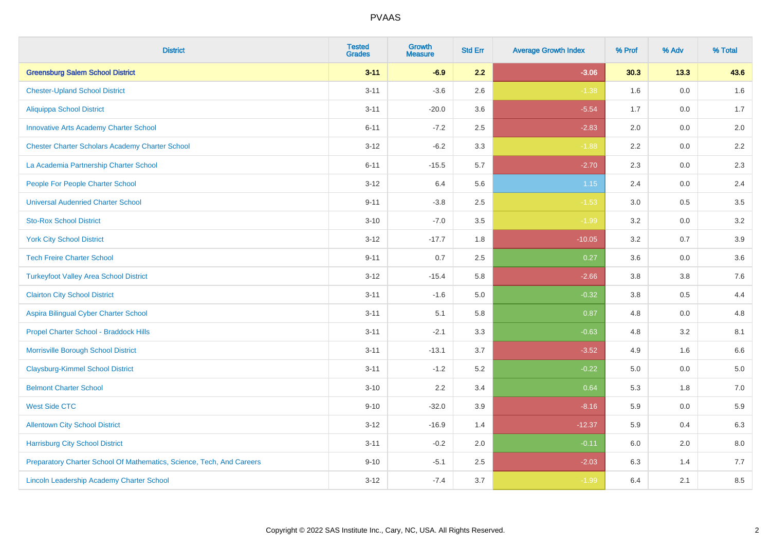| <b>District</b>                                                       | <b>Tested</b><br><b>Grades</b> | <b>Growth</b><br><b>Measure</b> | <b>Std Err</b> | <b>Average Growth Index</b> | % Prof  | % Adv   | % Total |
|-----------------------------------------------------------------------|--------------------------------|---------------------------------|----------------|-----------------------------|---------|---------|---------|
| <b>Greensburg Salem School District</b>                               | $3 - 11$                       | $-6.9$                          | 2.2            | $-3.06$                     | 30.3    | 13.3    | 43.6    |
| <b>Chester-Upland School District</b>                                 | $3 - 11$                       | $-3.6$                          | 2.6            | $-1.38$                     | 1.6     | 0.0     | 1.6     |
| <b>Aliquippa School District</b>                                      | $3 - 11$                       | $-20.0$                         | 3.6            | $-5.54$                     | 1.7     | 0.0     | 1.7     |
| <b>Innovative Arts Academy Charter School</b>                         | $6 - 11$                       | $-7.2$                          | 2.5            | $-2.83$                     | 2.0     | 0.0     | 2.0     |
| <b>Chester Charter Scholars Academy Charter School</b>                | $3 - 12$                       | $-6.2$                          | 3.3            | $-1.88$                     | 2.2     | 0.0     | $2.2\,$ |
| La Academia Partnership Charter School                                | $6 - 11$                       | $-15.5$                         | 5.7            | $-2.70$                     | 2.3     | 0.0     | 2.3     |
| People For People Charter School                                      | $3 - 12$                       | 6.4                             | 5.6            | 1.15                        | 2.4     | 0.0     | 2.4     |
| <b>Universal Audenried Charter School</b>                             | $9 - 11$                       | $-3.8$                          | 2.5            | $-1.53$                     | 3.0     | 0.5     | 3.5     |
| <b>Sto-Rox School District</b>                                        | $3 - 10$                       | $-7.0$                          | 3.5            | $-1.99$                     | 3.2     | 0.0     | 3.2     |
| <b>York City School District</b>                                      | $3 - 12$                       | $-17.7$                         | 1.8            | $-10.05$                    | 3.2     | 0.7     | 3.9     |
| <b>Tech Freire Charter School</b>                                     | $9 - 11$                       | 0.7                             | 2.5            | 0.27                        | 3.6     | 0.0     | 3.6     |
| <b>Turkeyfoot Valley Area School District</b>                         | $3 - 12$                       | $-15.4$                         | 5.8            | $-2.66$                     | 3.8     | 3.8     | 7.6     |
| <b>Clairton City School District</b>                                  | $3 - 11$                       | $-1.6$                          | $5.0\,$        | $-0.32$                     | $3.8\,$ | 0.5     | 4.4     |
| Aspira Bilingual Cyber Charter School                                 | $3 - 11$                       | 5.1                             | 5.8            | 0.87                        | 4.8     | 0.0     | 4.8     |
| Propel Charter School - Braddock Hills                                | $3 - 11$                       | $-2.1$                          | 3.3            | $-0.63$                     | 4.8     | 3.2     | 8.1     |
| Morrisville Borough School District                                   | $3 - 11$                       | $-13.1$                         | 3.7            | $-3.52$                     | 4.9     | 1.6     | 6.6     |
| <b>Claysburg-Kimmel School District</b>                               | $3 - 11$                       | $-1.2$                          | 5.2            | $-0.22$                     | 5.0     | 0.0     | 5.0     |
| <b>Belmont Charter School</b>                                         | $3 - 10$                       | 2.2                             | 3.4            | 0.64                        | 5.3     | 1.8     | $7.0\,$ |
| <b>West Side CTC</b>                                                  | $9 - 10$                       | $-32.0$                         | 3.9            | $-8.16$                     | 5.9     | 0.0     | 5.9     |
| <b>Allentown City School District</b>                                 | $3 - 12$                       | $-16.9$                         | 1.4            | $-12.37$                    | 5.9     | 0.4     | 6.3     |
| <b>Harrisburg City School District</b>                                | $3 - 11$                       | $-0.2$                          | 2.0            | $-0.11$                     | 6.0     | $2.0\,$ | $8.0\,$ |
| Preparatory Charter School Of Mathematics, Science, Tech, And Careers | $9 - 10$                       | $-5.1$                          | 2.5            | $-2.03$                     | 6.3     | 1.4     | 7.7     |
| Lincoln Leadership Academy Charter School                             | $3 - 12$                       | $-7.4$                          | 3.7            | $-1.99$                     | 6.4     | 2.1     | 8.5     |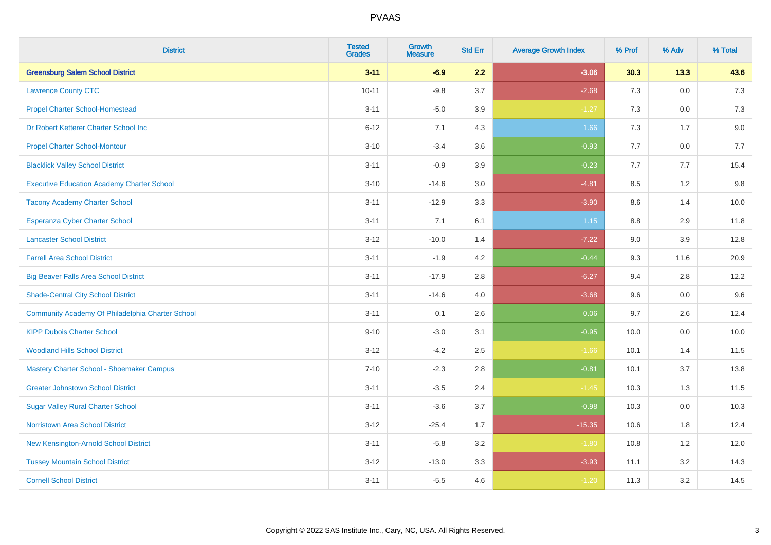| <b>District</b>                                   | <b>Tested</b><br><b>Grades</b> | Growth<br><b>Measure</b> | <b>Std Err</b> | <b>Average Growth Index</b> | % Prof | % Adv   | % Total |
|---------------------------------------------------|--------------------------------|--------------------------|----------------|-----------------------------|--------|---------|---------|
| <b>Greensburg Salem School District</b>           | $3 - 11$                       | $-6.9$                   | 2.2            | $-3.06$                     | 30.3   | 13.3    | 43.6    |
| <b>Lawrence County CTC</b>                        | $10 - 11$                      | $-9.8$                   | 3.7            | $-2.68$                     | 7.3    | 0.0     | $7.3$   |
| <b>Propel Charter School-Homestead</b>            | $3 - 11$                       | $-5.0$                   | 3.9            | $-1.27$                     | 7.3    | 0.0     | 7.3     |
| Dr Robert Ketterer Charter School Inc             | $6 - 12$                       | 7.1                      | 4.3            | 1.66                        | $7.3$  | 1.7     | 9.0     |
| <b>Propel Charter School-Montour</b>              | $3 - 10$                       | $-3.4$                   | 3.6            | $-0.93$                     | 7.7    | 0.0     | 7.7     |
| <b>Blacklick Valley School District</b>           | $3 - 11$                       | $-0.9$                   | 3.9            | $-0.23$                     | 7.7    | 7.7     | 15.4    |
| <b>Executive Education Academy Charter School</b> | $3 - 10$                       | $-14.6$                  | 3.0            | $-4.81$                     | 8.5    | 1.2     | 9.8     |
| <b>Tacony Academy Charter School</b>              | $3 - 11$                       | $-12.9$                  | 3.3            | $-3.90$                     | 8.6    | 1.4     | 10.0    |
| <b>Esperanza Cyber Charter School</b>             | $3 - 11$                       | 7.1                      | 6.1            | 1.15                        | 8.8    | 2.9     | 11.8    |
| <b>Lancaster School District</b>                  | $3 - 12$                       | $-10.0$                  | 1.4            | $-7.22$                     | 9.0    | 3.9     | 12.8    |
| <b>Farrell Area School District</b>               | $3 - 11$                       | $-1.9$                   | 4.2            | $-0.44$                     | 9.3    | 11.6    | 20.9    |
| <b>Big Beaver Falls Area School District</b>      | $3 - 11$                       | $-17.9$                  | 2.8            | $-6.27$                     | 9.4    | 2.8     | 12.2    |
| <b>Shade-Central City School District</b>         | $3 - 11$                       | $-14.6$                  | 4.0            | $-3.68$                     | 9.6    | 0.0     | 9.6     |
| Community Academy Of Philadelphia Charter School  | $3 - 11$                       | 0.1                      | 2.6            | 0.06                        | 9.7    | 2.6     | 12.4    |
| <b>KIPP Dubois Charter School</b>                 | $9 - 10$                       | $-3.0$                   | 3.1            | $-0.95$                     | 10.0   | 0.0     | 10.0    |
| <b>Woodland Hills School District</b>             | $3 - 12$                       | $-4.2$                   | 2.5            | $-1.66$                     | 10.1   | 1.4     | 11.5    |
| Mastery Charter School - Shoemaker Campus         | $7 - 10$                       | $-2.3$                   | 2.8            | $-0.81$                     | 10.1   | 3.7     | 13.8    |
| <b>Greater Johnstown School District</b>          | $3 - 11$                       | $-3.5$                   | 2.4            | $-1.45$                     | 10.3   | 1.3     | 11.5    |
| <b>Sugar Valley Rural Charter School</b>          | $3 - 11$                       | $-3.6$                   | 3.7            | $-0.98$                     | 10.3   | $0.0\,$ | 10.3    |
| Norristown Area School District                   | $3 - 12$                       | $-25.4$                  | 1.7            | $-15.35$                    | 10.6   | 1.8     | 12.4    |
| New Kensington-Arnold School District             | $3 - 11$                       | $-5.8$                   | 3.2            | $-1.80$                     | 10.8   | 1.2     | 12.0    |
| <b>Tussey Mountain School District</b>            | $3 - 12$                       | $-13.0$                  | 3.3            | $-3.93$                     | 11.1   | 3.2     | 14.3    |
| <b>Cornell School District</b>                    | $3 - 11$                       | $-5.5$                   | 4.6            | $-1.20$                     | 11.3   | 3.2     | 14.5    |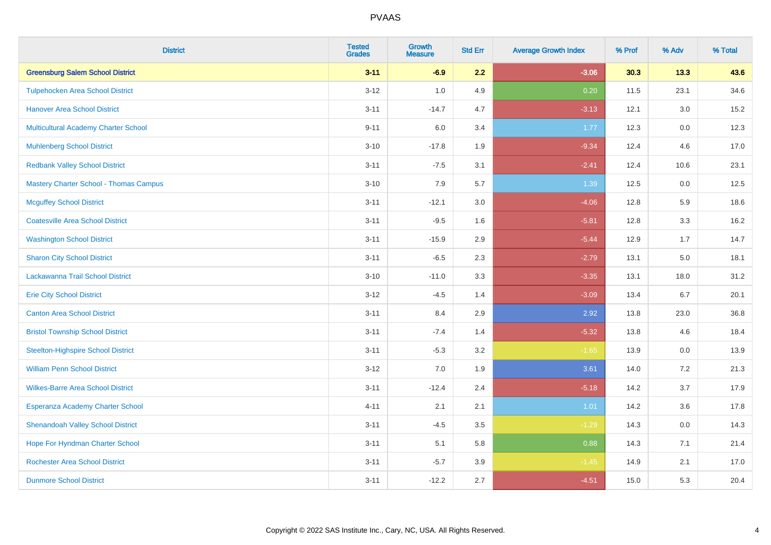| <b>District</b>                               | <b>Tested</b><br><b>Grades</b> | <b>Growth</b><br><b>Measure</b> | <b>Std Err</b> | <b>Average Growth Index</b> | % Prof | % Adv   | % Total |
|-----------------------------------------------|--------------------------------|---------------------------------|----------------|-----------------------------|--------|---------|---------|
| <b>Greensburg Salem School District</b>       | $3 - 11$                       | $-6.9$                          | 2.2            | $-3.06$                     | 30.3   | 13.3    | 43.6    |
| <b>Tulpehocken Area School District</b>       | $3 - 12$                       | 1.0                             | 4.9            | 0.20                        | 11.5   | 23.1    | 34.6    |
| <b>Hanover Area School District</b>           | $3 - 11$                       | $-14.7$                         | 4.7            | $-3.13$                     | 12.1   | 3.0     | 15.2    |
| <b>Multicultural Academy Charter School</b>   | $9 - 11$                       | 6.0                             | 3.4            | 1.77                        | 12.3   | 0.0     | 12.3    |
| <b>Muhlenberg School District</b>             | $3 - 10$                       | $-17.8$                         | 1.9            | $-9.34$                     | 12.4   | 4.6     | 17.0    |
| <b>Redbank Valley School District</b>         | $3 - 11$                       | $-7.5$                          | 3.1            | $-2.41$                     | 12.4   | 10.6    | 23.1    |
| <b>Mastery Charter School - Thomas Campus</b> | $3 - 10$                       | 7.9                             | 5.7            | 1.39                        | 12.5   | 0.0     | 12.5    |
| <b>Mcguffey School District</b>               | $3 - 11$                       | $-12.1$                         | 3.0            | $-4.06$                     | 12.8   | 5.9     | 18.6    |
| <b>Coatesville Area School District</b>       | $3 - 11$                       | $-9.5$                          | 1.6            | $-5.81$                     | 12.8   | 3.3     | 16.2    |
| <b>Washington School District</b>             | $3 - 11$                       | $-15.9$                         | 2.9            | $-5.44$                     | 12.9   | 1.7     | 14.7    |
| <b>Sharon City School District</b>            | $3 - 11$                       | $-6.5$                          | 2.3            | $-2.79$                     | 13.1   | 5.0     | 18.1    |
| Lackawanna Trail School District              | $3 - 10$                       | $-11.0$                         | 3.3            | $-3.35$                     | 13.1   | 18.0    | 31.2    |
| <b>Erie City School District</b>              | $3 - 12$                       | $-4.5$                          | 1.4            | $-3.09$                     | 13.4   | 6.7     | 20.1    |
| <b>Canton Area School District</b>            | $3 - 11$                       | 8.4                             | 2.9            | 2.92                        | 13.8   | 23.0    | 36.8    |
| <b>Bristol Township School District</b>       | $3 - 11$                       | $-7.4$                          | 1.4            | $-5.32$                     | 13.8   | 4.6     | 18.4    |
| <b>Steelton-Highspire School District</b>     | $3 - 11$                       | $-5.3$                          | 3.2            | $-1.65$                     | 13.9   | $0.0\,$ | 13.9    |
| <b>William Penn School District</b>           | $3 - 12$                       | 7.0                             | 1.9            | 3.61                        | 14.0   | 7.2     | 21.3    |
| <b>Wilkes-Barre Area School District</b>      | $3 - 11$                       | $-12.4$                         | 2.4            | $-5.18$                     | 14.2   | 3.7     | 17.9    |
| Esperanza Academy Charter School              | $4 - 11$                       | 2.1                             | 2.1            | 1.01                        | 14.2   | 3.6     | 17.8    |
| <b>Shenandoah Valley School District</b>      | $3 - 11$                       | $-4.5$                          | 3.5            | $-1.29$                     | 14.3   | 0.0     | 14.3    |
| Hope For Hyndman Charter School               | $3 - 11$                       | 5.1                             | 5.8            | 0.88                        | 14.3   | 7.1     | 21.4    |
| <b>Rochester Area School District</b>         | $3 - 11$                       | $-5.7$                          | 3.9            | $-1.45$                     | 14.9   | 2.1     | 17.0    |
| <b>Dunmore School District</b>                | $3 - 11$                       | $-12.2$                         | 2.7            | $-4.51$                     | 15.0   | 5.3     | 20.4    |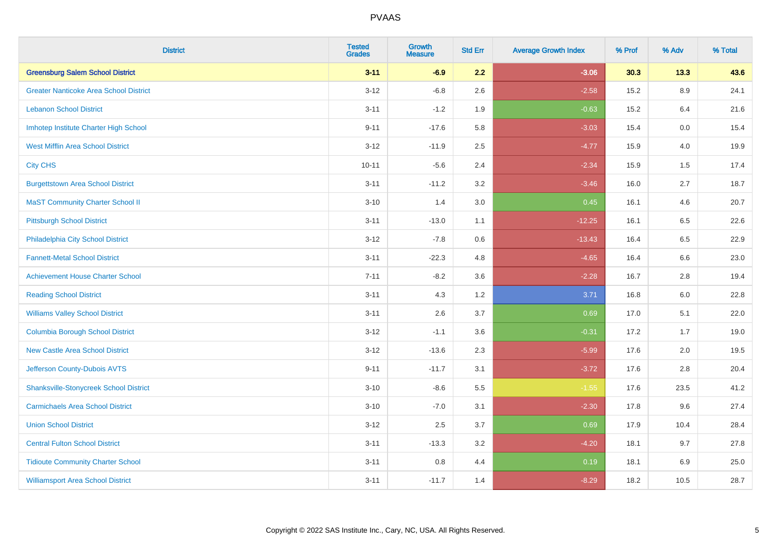| <b>District</b>                               | <b>Tested</b><br><b>Grades</b> | <b>Growth</b><br><b>Measure</b> | <b>Std Err</b> | <b>Average Growth Index</b> | % Prof | % Adv   | % Total |
|-----------------------------------------------|--------------------------------|---------------------------------|----------------|-----------------------------|--------|---------|---------|
| <b>Greensburg Salem School District</b>       | $3 - 11$                       | $-6.9$                          | 2.2            | $-3.06$                     | 30.3   | 13.3    | 43.6    |
| <b>Greater Nanticoke Area School District</b> | $3 - 12$                       | $-6.8$                          | 2.6            | $-2.58$                     | 15.2   | $8.9\,$ | 24.1    |
| <b>Lebanon School District</b>                | $3 - 11$                       | $-1.2$                          | 1.9            | $-0.63$                     | 15.2   | 6.4     | 21.6    |
| Imhotep Institute Charter High School         | $9 - 11$                       | $-17.6$                         | 5.8            | $-3.03$                     | 15.4   | 0.0     | 15.4    |
| <b>West Mifflin Area School District</b>      | $3 - 12$                       | $-11.9$                         | 2.5            | $-4.77$                     | 15.9   | 4.0     | 19.9    |
| <b>City CHS</b>                               | $10 - 11$                      | $-5.6$                          | 2.4            | $-2.34$                     | 15.9   | 1.5     | 17.4    |
| <b>Burgettstown Area School District</b>      | $3 - 11$                       | $-11.2$                         | 3.2            | $-3.46$                     | 16.0   | 2.7     | 18.7    |
| <b>MaST Community Charter School II</b>       | $3 - 10$                       | 1.4                             | 3.0            | 0.45                        | 16.1   | 4.6     | 20.7    |
| <b>Pittsburgh School District</b>             | $3 - 11$                       | $-13.0$                         | 1.1            | $-12.25$                    | 16.1   | 6.5     | 22.6    |
| Philadelphia City School District             | $3 - 12$                       | $-7.8$                          | 0.6            | $-13.43$                    | 16.4   | 6.5     | 22.9    |
| <b>Fannett-Metal School District</b>          | $3 - 11$                       | $-22.3$                         | 4.8            | $-4.65$                     | 16.4   | 6.6     | 23.0    |
| <b>Achievement House Charter School</b>       | $7 - 11$                       | $-8.2$                          | 3.6            | $-2.28$                     | 16.7   | 2.8     | 19.4    |
| <b>Reading School District</b>                | $3 - 11$                       | 4.3                             | 1.2            | 3.71                        | 16.8   | 6.0     | 22.8    |
| <b>Williams Valley School District</b>        | $3 - 11$                       | 2.6                             | 3.7            | 0.69                        | 17.0   | 5.1     | 22.0    |
| <b>Columbia Borough School District</b>       | $3 - 12$                       | $-1.1$                          | 3.6            | $-0.31$                     | 17.2   | 1.7     | 19.0    |
| <b>New Castle Area School District</b>        | $3 - 12$                       | $-13.6$                         | 2.3            | $-5.99$                     | 17.6   | 2.0     | 19.5    |
| Jefferson County-Dubois AVTS                  | $9 - 11$                       | $-11.7$                         | 3.1            | $-3.72$                     | 17.6   | 2.8     | 20.4    |
| <b>Shanksville-Stonycreek School District</b> | $3 - 10$                       | $-8.6$                          | 5.5            | $-1.55$                     | 17.6   | 23.5    | 41.2    |
| <b>Carmichaels Area School District</b>       | $3 - 10$                       | $-7.0$                          | 3.1            | $-2.30$                     | 17.8   | 9.6     | 27.4    |
| <b>Union School District</b>                  | $3 - 12$                       | 2.5                             | 3.7            | 0.69                        | 17.9   | 10.4    | 28.4    |
| <b>Central Fulton School District</b>         | $3 - 11$                       | $-13.3$                         | 3.2            | $-4.20$                     | 18.1   | 9.7     | 27.8    |
| <b>Tidioute Community Charter School</b>      | $3 - 11$                       | 0.8                             | 4.4            | 0.19                        | 18.1   | 6.9     | 25.0    |
| <b>Williamsport Area School District</b>      | $3 - 11$                       | $-11.7$                         | 1.4            | $-8.29$                     | 18.2   | 10.5    | 28.7    |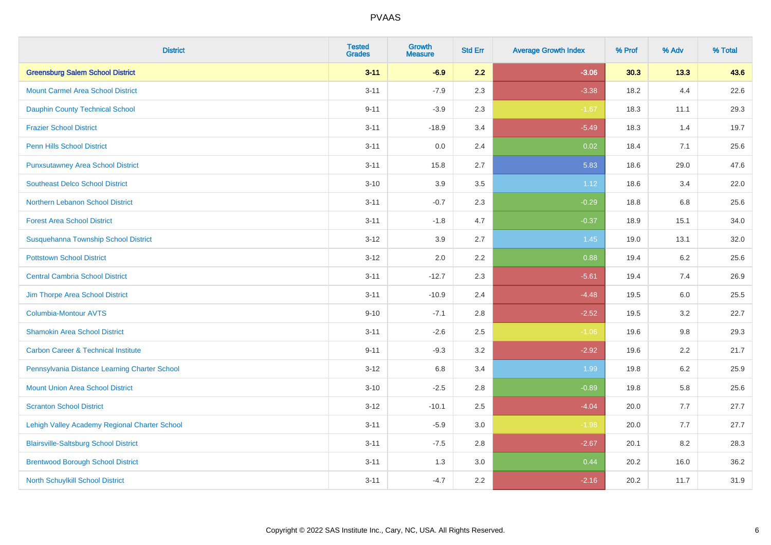| <b>District</b>                                | <b>Tested</b><br><b>Grades</b> | <b>Growth</b><br><b>Measure</b> | <b>Std Err</b> | <b>Average Growth Index</b> | % Prof | % Adv   | % Total |
|------------------------------------------------|--------------------------------|---------------------------------|----------------|-----------------------------|--------|---------|---------|
| <b>Greensburg Salem School District</b>        | $3 - 11$                       | $-6.9$                          | 2.2            | $-3.06$                     | 30.3   | 13.3    | 43.6    |
| <b>Mount Carmel Area School District</b>       | $3 - 11$                       | $-7.9$                          | 2.3            | $-3.38$                     | 18.2   | 4.4     | 22.6    |
| <b>Dauphin County Technical School</b>         | $9 - 11$                       | $-3.9$                          | 2.3            | $-1.67$                     | 18.3   | 11.1    | 29.3    |
| <b>Frazier School District</b>                 | $3 - 11$                       | $-18.9$                         | 3.4            | $-5.49$                     | 18.3   | 1.4     | 19.7    |
| <b>Penn Hills School District</b>              | $3 - 11$                       | 0.0                             | 2.4            | 0.02                        | 18.4   | 7.1     | 25.6    |
| <b>Punxsutawney Area School District</b>       | $3 - 11$                       | 15.8                            | 2.7            | 5.83                        | 18.6   | 29.0    | 47.6    |
| <b>Southeast Delco School District</b>         | $3 - 10$                       | 3.9                             | 3.5            | 1.12                        | 18.6   | 3.4     | 22.0    |
| Northern Lebanon School District               | $3 - 11$                       | $-0.7$                          | 2.3            | $-0.29$                     | 18.8   | 6.8     | 25.6    |
| <b>Forest Area School District</b>             | $3 - 11$                       | $-1.8$                          | 4.7            | $-0.37$                     | 18.9   | 15.1    | 34.0    |
| Susquehanna Township School District           | $3 - 12$                       | 3.9                             | 2.7            | 1.45                        | 19.0   | 13.1    | 32.0    |
| <b>Pottstown School District</b>               | $3 - 12$                       | 2.0                             | 2.2            | 0.88                        | 19.4   | 6.2     | 25.6    |
| <b>Central Cambria School District</b>         | $3 - 11$                       | $-12.7$                         | 2.3            | $-5.61$                     | 19.4   | 7.4     | 26.9    |
| Jim Thorpe Area School District                | $3 - 11$                       | $-10.9$                         | 2.4            | $-4.48$                     | 19.5   | $6.0\,$ | 25.5    |
| <b>Columbia-Montour AVTS</b>                   | $9 - 10$                       | $-7.1$                          | 2.8            | $-2.52$                     | 19.5   | 3.2     | 22.7    |
| <b>Shamokin Area School District</b>           | $3 - 11$                       | $-2.6$                          | 2.5            | $-1.06$                     | 19.6   | $9.8\,$ | 29.3    |
| <b>Carbon Career &amp; Technical Institute</b> | $9 - 11$                       | $-9.3$                          | 3.2            | $-2.92$                     | 19.6   | 2.2     | 21.7    |
| Pennsylvania Distance Learning Charter School  | $3 - 12$                       | 6.8                             | 3.4            | 1.99                        | 19.8   | 6.2     | 25.9    |
| <b>Mount Union Area School District</b>        | $3 - 10$                       | $-2.5$                          | 2.8            | $-0.89$                     | 19.8   | 5.8     | 25.6    |
| <b>Scranton School District</b>                | $3 - 12$                       | $-10.1$                         | 2.5            | $-4.04$                     | 20.0   | 7.7     | 27.7    |
| Lehigh Valley Academy Regional Charter School  | $3 - 11$                       | $-5.9$                          | 3.0            | $-1.98$                     | 20.0   | 7.7     | 27.7    |
| <b>Blairsville-Saltsburg School District</b>   | $3 - 11$                       | $-7.5$                          | 2.8            | $-2.67$                     | 20.1   | 8.2     | 28.3    |
| <b>Brentwood Borough School District</b>       | $3 - 11$                       | 1.3                             | $3.0\,$        | 0.44                        | 20.2   | 16.0    | 36.2    |
| North Schuylkill School District               | $3 - 11$                       | $-4.7$                          | 2.2            | $-2.16$                     | 20.2   | 11.7    | 31.9    |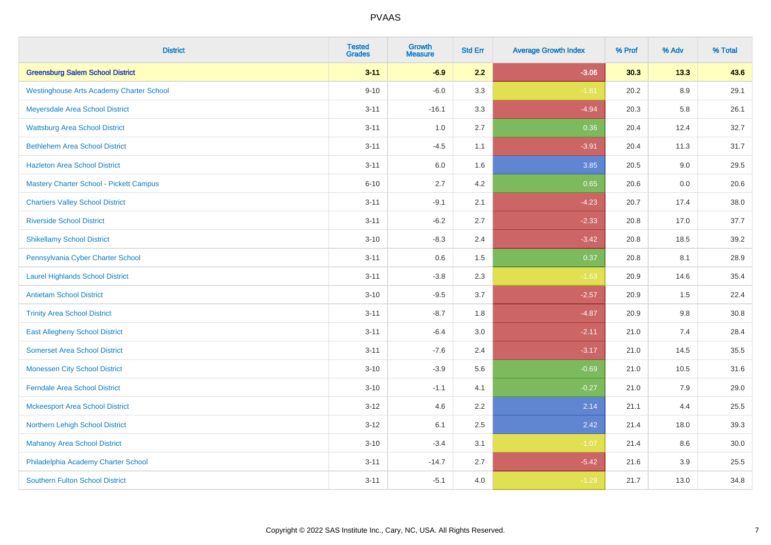| <b>District</b>                                 | <b>Tested</b><br><b>Grades</b> | <b>Growth</b><br><b>Measure</b> | <b>Std Err</b> | <b>Average Growth Index</b> | % Prof | % Adv   | % Total |
|-------------------------------------------------|--------------------------------|---------------------------------|----------------|-----------------------------|--------|---------|---------|
| <b>Greensburg Salem School District</b>         | $3 - 11$                       | $-6.9$                          | 2.2            | $-3.06$                     | 30.3   | 13.3    | 43.6    |
| <b>Westinghouse Arts Academy Charter School</b> | $9 - 10$                       | $-6.0$                          | 3.3            | $-1.81$                     | 20.2   | $8.9\,$ | 29.1    |
| Meyersdale Area School District                 | $3 - 11$                       | $-16.1$                         | 3.3            | $-4.94$                     | 20.3   | 5.8     | 26.1    |
| <b>Wattsburg Area School District</b>           | $3 - 11$                       | 1.0                             | 2.7            | 0.36                        | 20.4   | 12.4    | 32.7    |
| <b>Bethlehem Area School District</b>           | $3 - 11$                       | $-4.5$                          | 1.1            | $-3.91$                     | 20.4   | 11.3    | 31.7    |
| <b>Hazleton Area School District</b>            | $3 - 11$                       | 6.0                             | 1.6            | 3.85                        | 20.5   | 9.0     | 29.5    |
| <b>Mastery Charter School - Pickett Campus</b>  | $6 - 10$                       | 2.7                             | 4.2            | 0.65                        | 20.6   | 0.0     | 20.6    |
| <b>Chartiers Valley School District</b>         | $3 - 11$                       | $-9.1$                          | 2.1            | $-4.23$                     | 20.7   | 17.4    | 38.0    |
| <b>Riverside School District</b>                | $3 - 11$                       | $-6.2$                          | 2.7            | $-2.33$                     | 20.8   | 17.0    | 37.7    |
| <b>Shikellamy School District</b>               | $3 - 10$                       | $-8.3$                          | 2.4            | $-3.42$                     | 20.8   | 18.5    | 39.2    |
| Pennsylvania Cyber Charter School               | $3 - 11$                       | 0.6                             | 1.5            | 0.37                        | 20.8   | 8.1     | 28.9    |
| <b>Laurel Highlands School District</b>         | $3 - 11$                       | $-3.8$                          | 2.3            | $-1.63$                     | 20.9   | 14.6    | 35.4    |
| <b>Antietam School District</b>                 | $3 - 10$                       | $-9.5$                          | 3.7            | $-2.57$                     | 20.9   | $1.5\,$ | 22.4    |
| <b>Trinity Area School District</b>             | $3 - 11$                       | $-8.7$                          | 1.8            | $-4.87$                     | 20.9   | 9.8     | 30.8    |
| <b>East Allegheny School District</b>           | $3 - 11$                       | $-6.4$                          | 3.0            | $-2.11$                     | 21.0   | 7.4     | 28.4    |
| <b>Somerset Area School District</b>            | $3 - 11$                       | $-7.6$                          | 2.4            | $-3.17$                     | 21.0   | 14.5    | 35.5    |
| <b>Monessen City School District</b>            | $3 - 10$                       | $-3.9$                          | 5.6            | $-0.69$                     | 21.0   | 10.5    | 31.6    |
| <b>Ferndale Area School District</b>            | $3 - 10$                       | $-1.1$                          | 4.1            | $-0.27$                     | 21.0   | 7.9     | 29.0    |
| <b>Mckeesport Area School District</b>          | $3 - 12$                       | 4.6                             | 2.2            | 2.14                        | 21.1   | 4.4     | 25.5    |
| Northern Lehigh School District                 | $3 - 12$                       | 6.1                             | 2.5            | 2.42                        | 21.4   | 18.0    | 39.3    |
| <b>Mahanoy Area School District</b>             | $3 - 10$                       | $-3.4$                          | 3.1            | $-1.07$                     | 21.4   | 8.6     | 30.0    |
| Philadelphia Academy Charter School             | $3 - 11$                       | $-14.7$                         | 2.7            | $-5.42$                     | 21.6   | 3.9     | 25.5    |
| <b>Southern Fulton School District</b>          | $3 - 11$                       | $-5.1$                          | 4.0            | $-1.29$                     | 21.7   | 13.0    | 34.8    |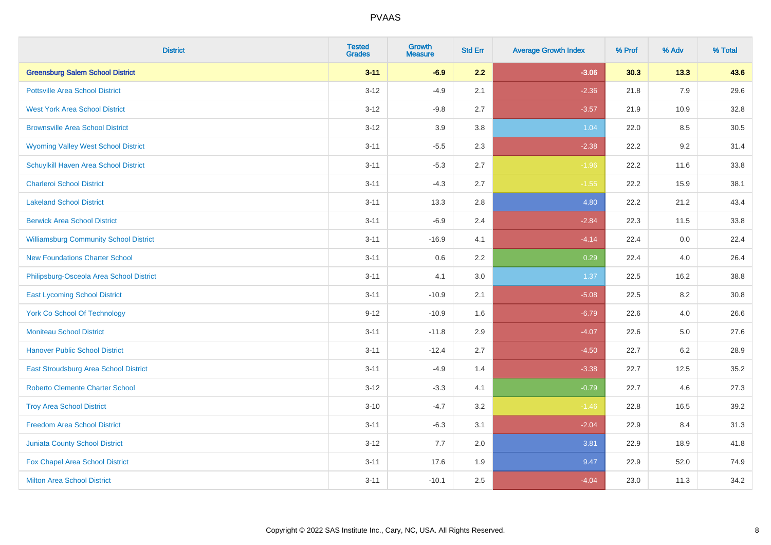| <b>District</b>                               | <b>Tested</b><br><b>Grades</b> | <b>Growth</b><br><b>Measure</b> | <b>Std Err</b> | <b>Average Growth Index</b> | % Prof | % Adv   | % Total |
|-----------------------------------------------|--------------------------------|---------------------------------|----------------|-----------------------------|--------|---------|---------|
| <b>Greensburg Salem School District</b>       | $3 - 11$                       | $-6.9$                          | 2.2            | $-3.06$                     | 30.3   | 13.3    | 43.6    |
| <b>Pottsville Area School District</b>        | $3-12$                         | $-4.9$                          | 2.1            | $-2.36$                     | 21.8   | 7.9     | 29.6    |
| <b>West York Area School District</b>         | $3 - 12$                       | $-9.8$                          | 2.7            | $-3.57$                     | 21.9   | 10.9    | 32.8    |
| <b>Brownsville Area School District</b>       | $3 - 12$                       | 3.9                             | 3.8            | 1.04                        | 22.0   | 8.5     | 30.5    |
| <b>Wyoming Valley West School District</b>    | $3 - 11$                       | $-5.5$                          | 2.3            | $-2.38$                     | 22.2   | 9.2     | 31.4    |
| Schuylkill Haven Area School District         | $3 - 11$                       | $-5.3$                          | 2.7            | $-1.96$                     | 22.2   | 11.6    | 33.8    |
| <b>Charleroi School District</b>              | $3 - 11$                       | $-4.3$                          | 2.7            | $-1.55$                     | 22.2   | 15.9    | 38.1    |
| <b>Lakeland School District</b>               | $3 - 11$                       | 13.3                            | 2.8            | 4.80                        | 22.2   | 21.2    | 43.4    |
| <b>Berwick Area School District</b>           | $3 - 11$                       | $-6.9$                          | 2.4            | $-2.84$                     | 22.3   | 11.5    | 33.8    |
| <b>Williamsburg Community School District</b> | $3 - 11$                       | $-16.9$                         | 4.1            | $-4.14$                     | 22.4   | 0.0     | 22.4    |
| <b>New Foundations Charter School</b>         | $3 - 11$                       | 0.6                             | 2.2            | 0.29                        | 22.4   | 4.0     | 26.4    |
| Philipsburg-Osceola Area School District      | $3 - 11$                       | 4.1                             | 3.0            | 1.37                        | 22.5   | 16.2    | 38.8    |
| <b>East Lycoming School District</b>          | $3 - 11$                       | $-10.9$                         | 2.1            | $-5.08$                     | 22.5   | $8.2\,$ | 30.8    |
| <b>York Co School Of Technology</b>           | $9 - 12$                       | $-10.9$                         | 1.6            | $-6.79$                     | 22.6   | 4.0     | 26.6    |
| <b>Moniteau School District</b>               | $3 - 11$                       | $-11.8$                         | 2.9            | $-4.07$                     | 22.6   | 5.0     | 27.6    |
| <b>Hanover Public School District</b>         | $3 - 11$                       | $-12.4$                         | 2.7            | $-4.50$                     | 22.7   | 6.2     | 28.9    |
| East Stroudsburg Area School District         | $3 - 11$                       | $-4.9$                          | 1.4            | $-3.38$                     | 22.7   | 12.5    | 35.2    |
| <b>Roberto Clemente Charter School</b>        | $3 - 12$                       | $-3.3$                          | 4.1            | $-0.79$                     | 22.7   | 4.6     | 27.3    |
| <b>Troy Area School District</b>              | $3 - 10$                       | $-4.7$                          | 3.2            | $-1.46$                     | 22.8   | 16.5    | 39.2    |
| <b>Freedom Area School District</b>           | $3 - 11$                       | $-6.3$                          | 3.1            | $-2.04$                     | 22.9   | 8.4     | 31.3    |
| <b>Juniata County School District</b>         | $3 - 12$                       | 7.7                             | 2.0            | 3.81                        | 22.9   | 18.9    | 41.8    |
| Fox Chapel Area School District               | $3 - 11$                       | 17.6                            | 1.9            | 9.47                        | 22.9   | 52.0    | 74.9    |
| <b>Milton Area School District</b>            | $3 - 11$                       | $-10.1$                         | 2.5            | $-4.04$                     | 23.0   | 11.3    | 34.2    |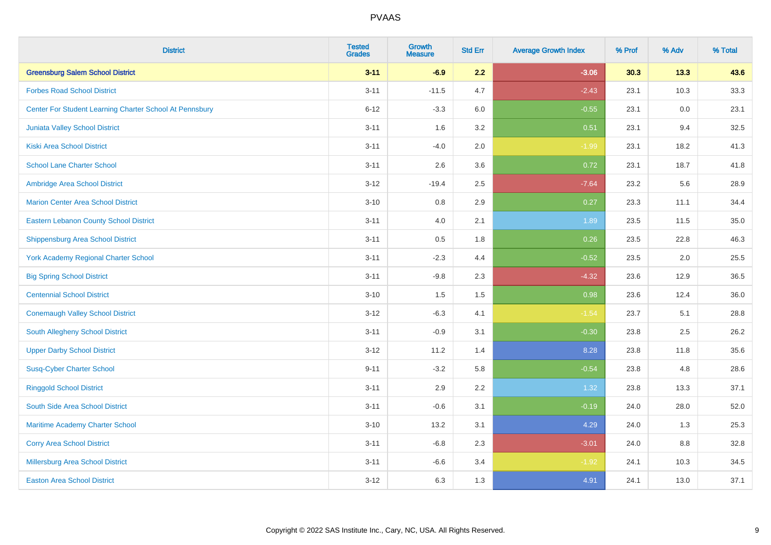| <b>District</b>                                         | <b>Tested</b><br><b>Grades</b> | <b>Growth</b><br><b>Measure</b> | <b>Std Err</b> | <b>Average Growth Index</b> | % Prof | % Adv | % Total |
|---------------------------------------------------------|--------------------------------|---------------------------------|----------------|-----------------------------|--------|-------|---------|
| <b>Greensburg Salem School District</b>                 | $3 - 11$                       | $-6.9$                          | 2.2            | $-3.06$                     | 30.3   | 13.3  | 43.6    |
| <b>Forbes Road School District</b>                      | $3 - 11$                       | $-11.5$                         | 4.7            | $-2.43$                     | 23.1   | 10.3  | 33.3    |
| Center For Student Learning Charter School At Pennsbury | $6 - 12$                       | $-3.3$                          | 6.0            | $-0.55$                     | 23.1   | 0.0   | 23.1    |
| Juniata Valley School District                          | $3 - 11$                       | 1.6                             | 3.2            | 0.51                        | 23.1   | 9.4   | 32.5    |
| <b>Kiski Area School District</b>                       | $3 - 11$                       | $-4.0$                          | 2.0            | $-1.99$                     | 23.1   | 18.2  | 41.3    |
| <b>School Lane Charter School</b>                       | $3 - 11$                       | 2.6                             | 3.6            | 0.72                        | 23.1   | 18.7  | 41.8    |
| Ambridge Area School District                           | $3 - 12$                       | $-19.4$                         | 2.5            | $-7.64$                     | 23.2   | 5.6   | 28.9    |
| <b>Marion Center Area School District</b>               | $3 - 10$                       | 0.8                             | 2.9            | 0.27                        | 23.3   | 11.1  | 34.4    |
| <b>Eastern Lebanon County School District</b>           | $3 - 11$                       | 4.0                             | 2.1            | 1.89                        | 23.5   | 11.5  | 35.0    |
| <b>Shippensburg Area School District</b>                | $3 - 11$                       | 0.5                             | 1.8            | 0.26                        | 23.5   | 22.8  | 46.3    |
| <b>York Academy Regional Charter School</b>             | $3 - 11$                       | $-2.3$                          | 4.4            | $-0.52$                     | 23.5   | 2.0   | 25.5    |
| <b>Big Spring School District</b>                       | $3 - 11$                       | $-9.8$                          | 2.3            | $-4.32$                     | 23.6   | 12.9  | 36.5    |
| <b>Centennial School District</b>                       | $3 - 10$                       | 1.5                             | 1.5            | 0.98                        | 23.6   | 12.4  | 36.0    |
| <b>Conemaugh Valley School District</b>                 | $3 - 12$                       | $-6.3$                          | 4.1            | $-1.54$                     | 23.7   | 5.1   | 28.8    |
| South Allegheny School District                         | $3 - 11$                       | $-0.9$                          | 3.1            | $-0.30$                     | 23.8   | 2.5   | 26.2    |
| <b>Upper Darby School District</b>                      | $3 - 12$                       | 11.2                            | 1.4            | 8.28                        | 23.8   | 11.8  | 35.6    |
| <b>Susq-Cyber Charter School</b>                        | $9 - 11$                       | $-3.2$                          | 5.8            | $-0.54$                     | 23.8   | 4.8   | 28.6    |
| <b>Ringgold School District</b>                         | $3 - 11$                       | 2.9                             | 2.2            | 1.32                        | 23.8   | 13.3  | 37.1    |
| South Side Area School District                         | $3 - 11$                       | $-0.6$                          | 3.1            | $-0.19$                     | 24.0   | 28.0  | 52.0    |
| Maritime Academy Charter School                         | $3 - 10$                       | 13.2                            | 3.1            | 4.29                        | 24.0   | 1.3   | 25.3    |
| <b>Corry Area School District</b>                       | $3 - 11$                       | $-6.8$                          | 2.3            | $-3.01$                     | 24.0   | 8.8   | 32.8    |
| Millersburg Area School District                        | $3 - 11$                       | $-6.6$                          | 3.4            | $-1.92$                     | 24.1   | 10.3  | 34.5    |
| <b>Easton Area School District</b>                      | $3 - 12$                       | 6.3                             | 1.3            | 4.91                        | 24.1   | 13.0  | 37.1    |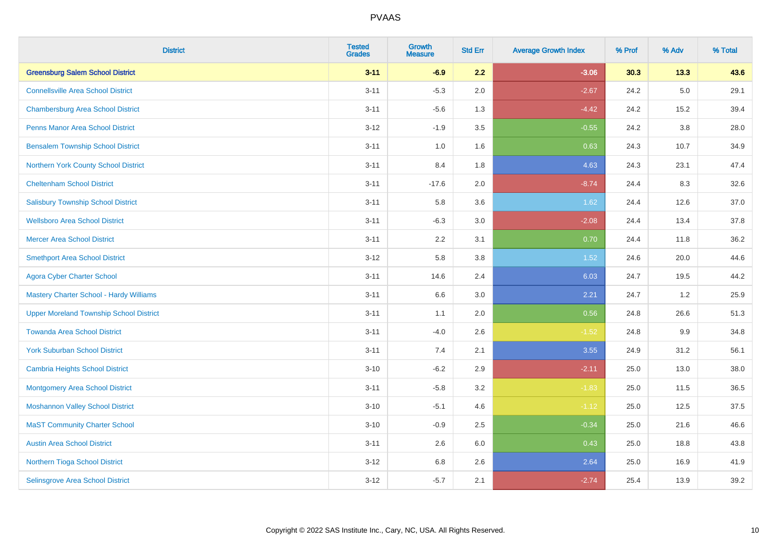| <b>District</b>                                | <b>Tested</b><br><b>Grades</b> | <b>Growth</b><br><b>Measure</b> | <b>Std Err</b> | <b>Average Growth Index</b> | % Prof | % Adv   | % Total |
|------------------------------------------------|--------------------------------|---------------------------------|----------------|-----------------------------|--------|---------|---------|
| <b>Greensburg Salem School District</b>        | $3 - 11$                       | $-6.9$                          | 2.2            | $-3.06$                     | 30.3   | 13.3    | 43.6    |
| <b>Connellsville Area School District</b>      | $3 - 11$                       | $-5.3$                          | 2.0            | $-2.67$                     | 24.2   | $5.0\,$ | 29.1    |
| <b>Chambersburg Area School District</b>       | $3 - 11$                       | $-5.6$                          | 1.3            | $-4.42$                     | 24.2   | 15.2    | 39.4    |
| <b>Penns Manor Area School District</b>        | $3 - 12$                       | $-1.9$                          | 3.5            | $-0.55$                     | 24.2   | 3.8     | 28.0    |
| <b>Bensalem Township School District</b>       | $3 - 11$                       | 1.0                             | 1.6            | 0.63                        | 24.3   | 10.7    | 34.9    |
| Northern York County School District           | $3 - 11$                       | 8.4                             | 1.8            | 4.63                        | 24.3   | 23.1    | 47.4    |
| <b>Cheltenham School District</b>              | $3 - 11$                       | $-17.6$                         | 2.0            | $-8.74$                     | 24.4   | 8.3     | 32.6    |
| <b>Salisbury Township School District</b>      | $3 - 11$                       | 5.8                             | 3.6            | 1.62                        | 24.4   | 12.6    | 37.0    |
| <b>Wellsboro Area School District</b>          | $3 - 11$                       | $-6.3$                          | 3.0            | $-2.08$                     | 24.4   | 13.4    | 37.8    |
| <b>Mercer Area School District</b>             | $3 - 11$                       | 2.2                             | 3.1            | 0.70                        | 24.4   | 11.8    | 36.2    |
| <b>Smethport Area School District</b>          | $3 - 12$                       | 5.8                             | 3.8            | 1.52                        | 24.6   | 20.0    | 44.6    |
| <b>Agora Cyber Charter School</b>              | $3 - 11$                       | 14.6                            | 2.4            | 6.03                        | 24.7   | 19.5    | 44.2    |
| <b>Mastery Charter School - Hardy Williams</b> | $3 - 11$                       | 6.6                             | 3.0            | 2.21                        | 24.7   | $1.2\,$ | 25.9    |
| <b>Upper Moreland Township School District</b> | $3 - 11$                       | 1.1                             | 2.0            | 0.56                        | 24.8   | 26.6    | 51.3    |
| <b>Towanda Area School District</b>            | $3 - 11$                       | $-4.0$                          | 2.6            | $-1.52$                     | 24.8   | 9.9     | 34.8    |
| <b>York Suburban School District</b>           | $3 - 11$                       | 7.4                             | 2.1            | 3.55                        | 24.9   | 31.2    | 56.1    |
| <b>Cambria Heights School District</b>         | $3 - 10$                       | $-6.2$                          | 2.9            | $-2.11$                     | 25.0   | 13.0    | 38.0    |
| <b>Montgomery Area School District</b>         | $3 - 11$                       | $-5.8$                          | 3.2            | $-1.83$                     | 25.0   | 11.5    | 36.5    |
| <b>Moshannon Valley School District</b>        | $3 - 10$                       | $-5.1$                          | 4.6            | $-1.12$                     | 25.0   | 12.5    | 37.5    |
| <b>MaST Community Charter School</b>           | $3 - 10$                       | $-0.9$                          | 2.5            | $-0.34$                     | 25.0   | 21.6    | 46.6    |
| <b>Austin Area School District</b>             | $3 - 11$                       | 2.6                             | 6.0            | 0.43                        | 25.0   | 18.8    | 43.8    |
| Northern Tioga School District                 | $3 - 12$                       | 6.8                             | 2.6            | 2.64                        | 25.0   | 16.9    | 41.9    |
| <b>Selinsgrove Area School District</b>        | $3 - 12$                       | $-5.7$                          | 2.1            | $-2.74$                     | 25.4   | 13.9    | 39.2    |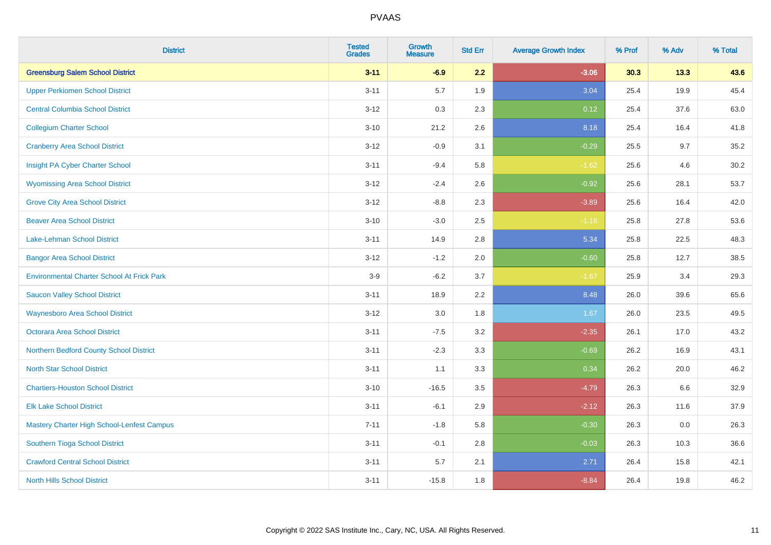| <b>District</b>                                   | <b>Tested</b><br><b>Grades</b> | <b>Growth</b><br><b>Measure</b> | <b>Std Err</b> | <b>Average Growth Index</b> | % Prof | % Adv | % Total |
|---------------------------------------------------|--------------------------------|---------------------------------|----------------|-----------------------------|--------|-------|---------|
| <b>Greensburg Salem School District</b>           | $3 - 11$                       | $-6.9$                          | 2.2            | $-3.06$                     | 30.3   | 13.3  | 43.6    |
| <b>Upper Perkiomen School District</b>            | $3 - 11$                       | 5.7                             | 1.9            | 3.04                        | 25.4   | 19.9  | 45.4    |
| <b>Central Columbia School District</b>           | $3 - 12$                       | 0.3                             | 2.3            | 0.12                        | 25.4   | 37.6  | 63.0    |
| <b>Collegium Charter School</b>                   | $3 - 10$                       | 21.2                            | 2.6            | 8.18                        | 25.4   | 16.4  | 41.8    |
| <b>Cranberry Area School District</b>             | $3 - 12$                       | $-0.9$                          | 3.1            | $-0.29$                     | 25.5   | 9.7   | 35.2    |
| Insight PA Cyber Charter School                   | $3 - 11$                       | $-9.4$                          | 5.8            | $-1.62$                     | 25.6   | 4.6   | 30.2    |
| <b>Wyomissing Area School District</b>            | $3 - 12$                       | $-2.4$                          | 2.6            | $-0.92$                     | 25.6   | 28.1  | 53.7    |
| <b>Grove City Area School District</b>            | $3 - 12$                       | $-8.8$                          | 2.3            | $-3.89$                     | 25.6   | 16.4  | 42.0    |
| <b>Beaver Area School District</b>                | $3 - 10$                       | $-3.0$                          | 2.5            | $-1.16$                     | 25.8   | 27.8  | 53.6    |
| Lake-Lehman School District                       | $3 - 11$                       | 14.9                            | 2.8            | 5.34                        | 25.8   | 22.5  | 48.3    |
| <b>Bangor Area School District</b>                | $3 - 12$                       | $-1.2$                          | 2.0            | $-0.60$                     | 25.8   | 12.7  | 38.5    |
| <b>Environmental Charter School At Frick Park</b> | $3-9$                          | $-6.2$                          | 3.7            | $-1.67$                     | 25.9   | 3.4   | 29.3    |
| <b>Saucon Valley School District</b>              | $3 - 11$                       | 18.9                            | 2.2            | 8.48                        | 26.0   | 39.6  | 65.6    |
| <b>Waynesboro Area School District</b>            | $3 - 12$                       | 3.0                             | 1.8            | 1.67                        | 26.0   | 23.5  | 49.5    |
| <b>Octorara Area School District</b>              | $3 - 11$                       | $-7.5$                          | 3.2            | $-2.35$                     | 26.1   | 17.0  | 43.2    |
| Northern Bedford County School District           | $3 - 11$                       | $-2.3$                          | 3.3            | $-0.69$                     | 26.2   | 16.9  | 43.1    |
| <b>North Star School District</b>                 | $3 - 11$                       | 1.1                             | 3.3            | 0.34                        | 26.2   | 20.0  | 46.2    |
| <b>Chartiers-Houston School District</b>          | $3 - 10$                       | $-16.5$                         | 3.5            | $-4.79$                     | 26.3   | 6.6   | 32.9    |
| <b>Elk Lake School District</b>                   | $3 - 11$                       | $-6.1$                          | 2.9            | $-2.12$                     | 26.3   | 11.6  | 37.9    |
| Mastery Charter High School-Lenfest Campus        | $7 - 11$                       | $-1.8$                          | 5.8            | $-0.30$                     | 26.3   | 0.0   | 26.3    |
| Southern Tioga School District                    | $3 - 11$                       | $-0.1$                          | 2.8            | $-0.03$                     | 26.3   | 10.3  | 36.6    |
| <b>Crawford Central School District</b>           | $3 - 11$                       | 5.7                             | 2.1            | 2.71                        | 26.4   | 15.8  | 42.1    |
| <b>North Hills School District</b>                | $3 - 11$                       | $-15.8$                         | 1.8            | $-8.84$                     | 26.4   | 19.8  | 46.2    |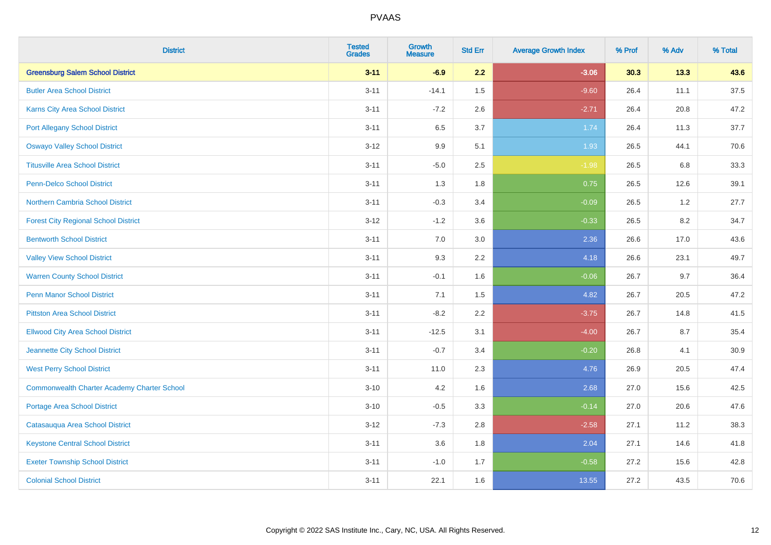| <b>District</b>                                    | <b>Tested</b><br><b>Grades</b> | <b>Growth</b><br><b>Measure</b> | <b>Std Err</b> | <b>Average Growth Index</b> | % Prof | % Adv | % Total |
|----------------------------------------------------|--------------------------------|---------------------------------|----------------|-----------------------------|--------|-------|---------|
| <b>Greensburg Salem School District</b>            | $3 - 11$                       | $-6.9$                          | 2.2            | $-3.06$                     | 30.3   | 13.3  | 43.6    |
| <b>Butler Area School District</b>                 | $3 - 11$                       | $-14.1$                         | 1.5            | $-9.60$                     | 26.4   | 11.1  | 37.5    |
| Karns City Area School District                    | $3 - 11$                       | $-7.2$                          | 2.6            | $-2.71$                     | 26.4   | 20.8  | 47.2    |
| <b>Port Allegany School District</b>               | $3 - 11$                       | 6.5                             | 3.7            | 1.74                        | 26.4   | 11.3  | 37.7    |
| <b>Oswayo Valley School District</b>               | $3-12$                         | 9.9                             | 5.1            | 1.93                        | 26.5   | 44.1  | 70.6    |
| <b>Titusville Area School District</b>             | $3 - 11$                       | $-5.0$                          | 2.5            | $-1.98$                     | 26.5   | 6.8   | 33.3    |
| Penn-Delco School District                         | $3 - 11$                       | 1.3                             | 1.8            | 0.75                        | 26.5   | 12.6  | 39.1    |
| Northern Cambria School District                   | $3 - 11$                       | $-0.3$                          | 3.4            | $-0.09$                     | 26.5   | $1.2$ | 27.7    |
| <b>Forest City Regional School District</b>        | $3-12$                         | $-1.2$                          | 3.6            | $-0.33$                     | 26.5   | 8.2   | 34.7    |
| <b>Bentworth School District</b>                   | $3 - 11$                       | 7.0                             | 3.0            | 2.36                        | 26.6   | 17.0  | 43.6    |
| <b>Valley View School District</b>                 | $3 - 11$                       | 9.3                             | 2.2            | 4.18                        | 26.6   | 23.1  | 49.7    |
| <b>Warren County School District</b>               | $3 - 11$                       | $-0.1$                          | 1.6            | $-0.06$                     | 26.7   | 9.7   | 36.4    |
| <b>Penn Manor School District</b>                  | $3 - 11$                       | 7.1                             | 1.5            | 4.82                        | 26.7   | 20.5  | 47.2    |
| <b>Pittston Area School District</b>               | $3 - 11$                       | $-8.2$                          | 2.2            | $-3.75$                     | 26.7   | 14.8  | 41.5    |
| <b>Ellwood City Area School District</b>           | $3 - 11$                       | $-12.5$                         | 3.1            | $-4.00$                     | 26.7   | 8.7   | 35.4    |
| Jeannette City School District                     | $3 - 11$                       | $-0.7$                          | 3.4            | $-0.20$                     | 26.8   | 4.1   | 30.9    |
| <b>West Perry School District</b>                  | $3 - 11$                       | 11.0                            | 2.3            | 4.76                        | 26.9   | 20.5  | 47.4    |
| <b>Commonwealth Charter Academy Charter School</b> | $3 - 10$                       | 4.2                             | 1.6            | 2.68                        | 27.0   | 15.6  | 42.5    |
| <b>Portage Area School District</b>                | $3 - 10$                       | $-0.5$                          | 3.3            | $-0.14$                     | 27.0   | 20.6  | 47.6    |
| Catasauqua Area School District                    | $3 - 12$                       | $-7.3$                          | 2.8            | $-2.58$                     | 27.1   | 11.2  | 38.3    |
| <b>Keystone Central School District</b>            | $3 - 11$                       | 3.6                             | 1.8            | 2.04                        | 27.1   | 14.6  | 41.8    |
| <b>Exeter Township School District</b>             | $3 - 11$                       | $-1.0$                          | 1.7            | $-0.58$                     | 27.2   | 15.6  | 42.8    |
| <b>Colonial School District</b>                    | $3 - 11$                       | 22.1                            | 1.6            | 13.55                       | 27.2   | 43.5  | 70.6    |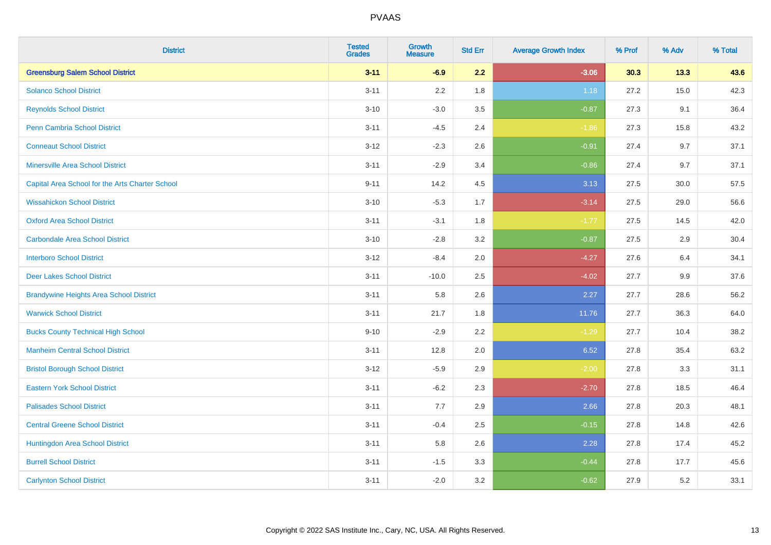| <b>District</b>                                 | <b>Tested</b><br><b>Grades</b> | <b>Growth</b><br><b>Measure</b> | <b>Std Err</b> | <b>Average Growth Index</b> | % Prof | % Adv | % Total |
|-------------------------------------------------|--------------------------------|---------------------------------|----------------|-----------------------------|--------|-------|---------|
| <b>Greensburg Salem School District</b>         | $3 - 11$                       | $-6.9$                          | 2.2            | $-3.06$                     | 30.3   | 13.3  | 43.6    |
| <b>Solanco School District</b>                  | $3 - 11$                       | 2.2                             | 1.8            | 1.18                        | 27.2   | 15.0  | 42.3    |
| <b>Reynolds School District</b>                 | $3 - 10$                       | $-3.0$                          | 3.5            | $-0.87$                     | 27.3   | 9.1   | 36.4    |
| Penn Cambria School District                    | $3 - 11$                       | $-4.5$                          | 2.4            | $-1.86$                     | 27.3   | 15.8  | 43.2    |
| <b>Conneaut School District</b>                 | $3 - 12$                       | $-2.3$                          | 2.6            | $-0.91$                     | 27.4   | 9.7   | 37.1    |
| <b>Minersville Area School District</b>         | $3 - 11$                       | $-2.9$                          | 3.4            | $-0.86$                     | 27.4   | 9.7   | 37.1    |
| Capital Area School for the Arts Charter School | $9 - 11$                       | 14.2                            | 4.5            | 3.13                        | 27.5   | 30.0  | 57.5    |
| <b>Wissahickon School District</b>              | $3 - 10$                       | $-5.3$                          | 1.7            | $-3.14$                     | 27.5   | 29.0  | 56.6    |
| <b>Oxford Area School District</b>              | $3 - 11$                       | $-3.1$                          | 1.8            | $-1.77$                     | 27.5   | 14.5  | 42.0    |
| <b>Carbondale Area School District</b>          | $3 - 10$                       | $-2.8$                          | 3.2            | $-0.87$                     | 27.5   | 2.9   | 30.4    |
| <b>Interboro School District</b>                | $3 - 12$                       | $-8.4$                          | 2.0            | $-4.27$                     | 27.6   | 6.4   | 34.1    |
| <b>Deer Lakes School District</b>               | $3 - 11$                       | $-10.0$                         | 2.5            | $-4.02$                     | 27.7   | 9.9   | 37.6    |
| <b>Brandywine Heights Area School District</b>  | $3 - 11$                       | 5.8                             | 2.6            | 2.27                        | 27.7   | 28.6  | 56.2    |
| <b>Warwick School District</b>                  | $3 - 11$                       | 21.7                            | 1.8            | 11.76                       | 27.7   | 36.3  | 64.0    |
| <b>Bucks County Technical High School</b>       | $9 - 10$                       | $-2.9$                          | 2.2            | $-1.29$                     | 27.7   | 10.4  | 38.2    |
| <b>Manheim Central School District</b>          | $3 - 11$                       | 12.8                            | 2.0            | 6.52                        | 27.8   | 35.4  | 63.2    |
| <b>Bristol Borough School District</b>          | $3 - 12$                       | $-5.9$                          | 2.9            | $-2.00$                     | 27.8   | 3.3   | 31.1    |
| <b>Eastern York School District</b>             | $3 - 11$                       | $-6.2$                          | 2.3            | $-2.70$                     | 27.8   | 18.5  | 46.4    |
| <b>Palisades School District</b>                | $3 - 11$                       | 7.7                             | 2.9            | 2.66                        | 27.8   | 20.3  | 48.1    |
| <b>Central Greene School District</b>           | $3 - 11$                       | $-0.4$                          | 2.5            | $-0.15$                     | 27.8   | 14.8  | 42.6    |
| Huntingdon Area School District                 | $3 - 11$                       | 5.8                             | 2.6            | 2.28                        | 27.8   | 17.4  | 45.2    |
| <b>Burrell School District</b>                  | $3 - 11$                       | $-1.5$                          | 3.3            | $-0.44$                     | 27.8   | 17.7  | 45.6    |
| <b>Carlynton School District</b>                | $3 - 11$                       | $-2.0$                          | 3.2            | $-0.62$                     | 27.9   | 5.2   | 33.1    |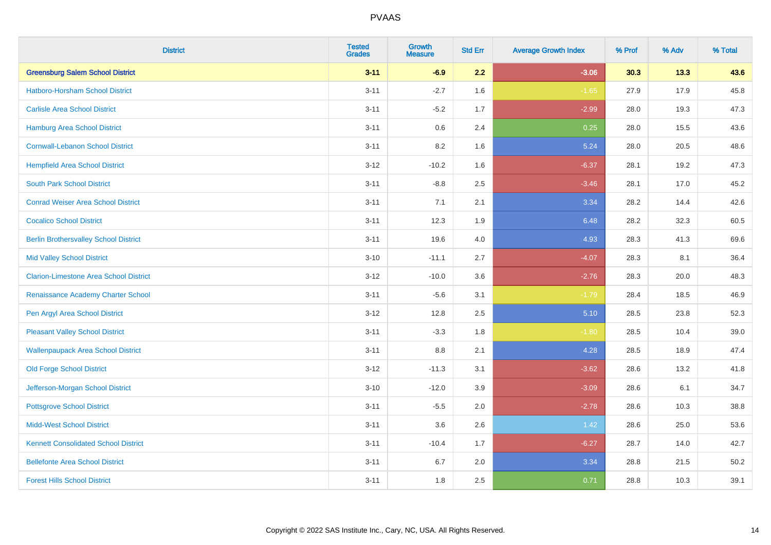| <b>District</b>                               | <b>Tested</b><br><b>Grades</b> | <b>Growth</b><br><b>Measure</b> | <b>Std Err</b> | <b>Average Growth Index</b> | % Prof | % Adv | % Total |
|-----------------------------------------------|--------------------------------|---------------------------------|----------------|-----------------------------|--------|-------|---------|
| <b>Greensburg Salem School District</b>       | $3 - 11$                       | $-6.9$                          | 2.2            | $-3.06$                     | 30.3   | 13.3  | 43.6    |
| Hatboro-Horsham School District               | $3 - 11$                       | $-2.7$                          | 1.6            | $-1.65$                     | 27.9   | 17.9  | 45.8    |
| <b>Carlisle Area School District</b>          | $3 - 11$                       | $-5.2$                          | 1.7            | $-2.99$                     | 28.0   | 19.3  | 47.3    |
| Hamburg Area School District                  | $3 - 11$                       | $0.6\,$                         | 2.4            | 0.25                        | 28.0   | 15.5  | 43.6    |
| <b>Cornwall-Lebanon School District</b>       | $3 - 11$                       | 8.2                             | 1.6            | 5.24                        | 28.0   | 20.5  | 48.6    |
| <b>Hempfield Area School District</b>         | $3 - 12$                       | $-10.2$                         | 1.6            | $-6.37$                     | 28.1   | 19.2  | 47.3    |
| <b>South Park School District</b>             | $3 - 11$                       | $-8.8$                          | 2.5            | $-3.46$                     | 28.1   | 17.0  | 45.2    |
| <b>Conrad Weiser Area School District</b>     | $3 - 11$                       | 7.1                             | 2.1            | 3.34                        | 28.2   | 14.4  | 42.6    |
| <b>Cocalico School District</b>               | $3 - 11$                       | 12.3                            | 1.9            | 6.48                        | 28.2   | 32.3  | 60.5    |
| <b>Berlin Brothersvalley School District</b>  | $3 - 11$                       | 19.6                            | 4.0            | 4.93                        | 28.3   | 41.3  | 69.6    |
| <b>Mid Valley School District</b>             | $3 - 10$                       | $-11.1$                         | 2.7            | $-4.07$                     | 28.3   | 8.1   | 36.4    |
| <b>Clarion-Limestone Area School District</b> | $3 - 12$                       | $-10.0$                         | 3.6            | $-2.76$                     | 28.3   | 20.0  | 48.3    |
| Renaissance Academy Charter School            | $3 - 11$                       | $-5.6$                          | 3.1            | $-1.79$                     | 28.4   | 18.5  | 46.9    |
| Pen Argyl Area School District                | $3 - 12$                       | 12.8                            | 2.5            | 5.10                        | 28.5   | 23.8  | 52.3    |
| <b>Pleasant Valley School District</b>        | $3 - 11$                       | $-3.3$                          | 1.8            | $-1.80$                     | 28.5   | 10.4  | 39.0    |
| <b>Wallenpaupack Area School District</b>     | $3 - 11$                       | 8.8                             | 2.1            | 4.28                        | 28.5   | 18.9  | 47.4    |
| <b>Old Forge School District</b>              | $3 - 12$                       | $-11.3$                         | 3.1            | $-3.62$                     | 28.6   | 13.2  | 41.8    |
| Jefferson-Morgan School District              | $3 - 10$                       | $-12.0$                         | 3.9            | $-3.09$                     | 28.6   | 6.1   | 34.7    |
| <b>Pottsgrove School District</b>             | $3 - 11$                       | $-5.5$                          | 2.0            | $-2.78$                     | 28.6   | 10.3  | 38.8    |
| <b>Midd-West School District</b>              | $3 - 11$                       | 3.6                             | 2.6            | 1.42                        | 28.6   | 25.0  | 53.6    |
| <b>Kennett Consolidated School District</b>   | $3 - 11$                       | $-10.4$                         | 1.7            | $-6.27$                     | 28.7   | 14.0  | 42.7    |
| <b>Bellefonte Area School District</b>        | $3 - 11$                       | 6.7                             | 2.0            | 3.34                        | 28.8   | 21.5  | 50.2    |
| <b>Forest Hills School District</b>           | $3 - 11$                       | 1.8                             | 2.5            | 0.71                        | 28.8   | 10.3  | 39.1    |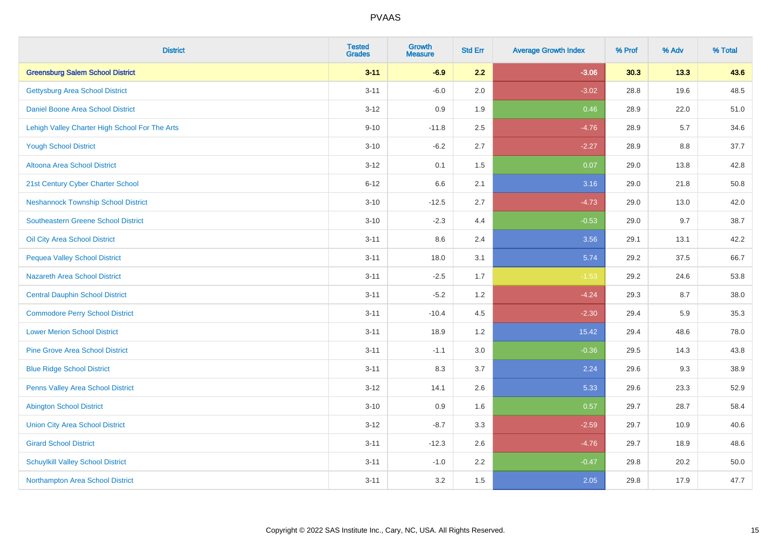| <b>District</b>                                | <b>Tested</b><br><b>Grades</b> | <b>Growth</b><br><b>Measure</b> | <b>Std Err</b> | <b>Average Growth Index</b> | % Prof | % Adv | % Total |
|------------------------------------------------|--------------------------------|---------------------------------|----------------|-----------------------------|--------|-------|---------|
| <b>Greensburg Salem School District</b>        | $3 - 11$                       | $-6.9$                          | 2.2            | $-3.06$                     | 30.3   | 13.3  | 43.6    |
| <b>Gettysburg Area School District</b>         | $3 - 11$                       | $-6.0$                          | 2.0            | $-3.02$                     | 28.8   | 19.6  | 48.5    |
| Daniel Boone Area School District              | $3 - 12$                       | 0.9                             | 1.9            | 0.46                        | 28.9   | 22.0  | 51.0    |
| Lehigh Valley Charter High School For The Arts | $9 - 10$                       | $-11.8$                         | 2.5            | $-4.76$                     | 28.9   | 5.7   | 34.6    |
| <b>Yough School District</b>                   | $3 - 10$                       | $-6.2$                          | 2.7            | $-2.27$                     | 28.9   | 8.8   | 37.7    |
| <b>Altoona Area School District</b>            | $3 - 12$                       | 0.1                             | 1.5            | 0.07                        | 29.0   | 13.8  | 42.8    |
| 21st Century Cyber Charter School              | $6 - 12$                       | 6.6                             | 2.1            | 3.16                        | 29.0   | 21.8  | 50.8    |
| <b>Neshannock Township School District</b>     | $3 - 10$                       | $-12.5$                         | 2.7            | $-4.73$                     | 29.0   | 13.0  | 42.0    |
| <b>Southeastern Greene School District</b>     | $3 - 10$                       | $-2.3$                          | 4.4            | $-0.53$                     | 29.0   | 9.7   | 38.7    |
| Oil City Area School District                  | $3 - 11$                       | 8.6                             | 2.4            | 3.56                        | 29.1   | 13.1  | 42.2    |
| <b>Pequea Valley School District</b>           | $3 - 11$                       | 18.0                            | 3.1            | 5.74                        | 29.2   | 37.5  | 66.7    |
| <b>Nazareth Area School District</b>           | $3 - 11$                       | $-2.5$                          | 1.7            | $-1.53$                     | 29.2   | 24.6  | 53.8    |
| <b>Central Dauphin School District</b>         | $3 - 11$                       | $-5.2$                          | 1.2            | $-4.24$                     | 29.3   | 8.7   | 38.0    |
| <b>Commodore Perry School District</b>         | $3 - 11$                       | $-10.4$                         | 4.5            | $-2.30$                     | 29.4   | 5.9   | 35.3    |
| <b>Lower Merion School District</b>            | $3 - 11$                       | 18.9                            | 1.2            | 15.42                       | 29.4   | 48.6  | 78.0    |
| <b>Pine Grove Area School District</b>         | $3 - 11$                       | $-1.1$                          | 3.0            | $-0.36$                     | 29.5   | 14.3  | 43.8    |
| <b>Blue Ridge School District</b>              | $3 - 11$                       | 8.3                             | 3.7            | 2.24                        | 29.6   | 9.3   | 38.9    |
| Penns Valley Area School District              | $3 - 12$                       | 14.1                            | 2.6            | 5.33                        | 29.6   | 23.3  | 52.9    |
| <b>Abington School District</b>                | $3 - 10$                       | 0.9                             | 1.6            | 0.57                        | 29.7   | 28.7  | 58.4    |
| <b>Union City Area School District</b>         | $3 - 12$                       | $-8.7$                          | 3.3            | $-2.59$                     | 29.7   | 10.9  | 40.6    |
| <b>Girard School District</b>                  | $3 - 11$                       | $-12.3$                         | 2.6            | $-4.76$                     | 29.7   | 18.9  | 48.6    |
| <b>Schuylkill Valley School District</b>       | $3 - 11$                       | $-1.0$                          | 2.2            | $-0.47$                     | 29.8   | 20.2  | 50.0    |
| Northampton Area School District               | $3 - 11$                       | 3.2                             | 1.5            | 2.05                        | 29.8   | 17.9  | 47.7    |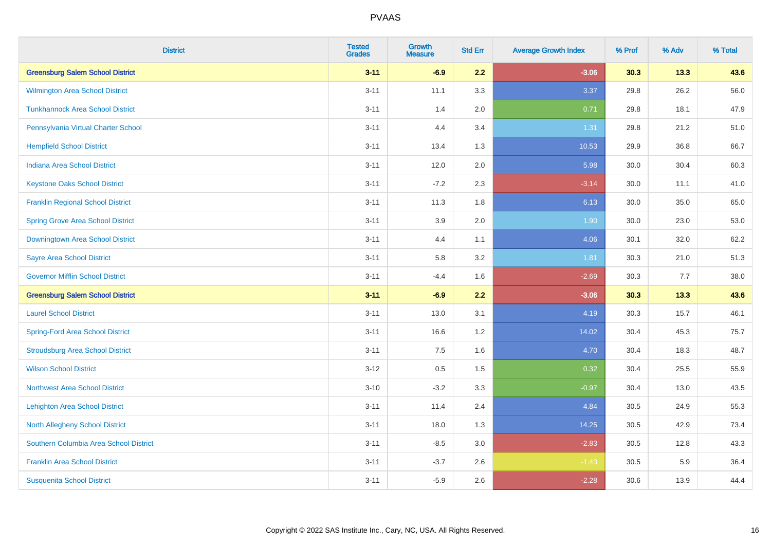| <b>District</b>                          | <b>Tested</b><br><b>Grades</b> | <b>Growth</b><br><b>Measure</b> | <b>Std Err</b> | <b>Average Growth Index</b> | % Prof | % Adv | % Total |
|------------------------------------------|--------------------------------|---------------------------------|----------------|-----------------------------|--------|-------|---------|
| <b>Greensburg Salem School District</b>  | $3 - 11$                       | $-6.9$                          | 2.2            | $-3.06$                     | 30.3   | 13.3  | 43.6    |
| <b>Wilmington Area School District</b>   | $3 - 11$                       | 11.1                            | 3.3            | 3.37                        | 29.8   | 26.2  | 56.0    |
| <b>Tunkhannock Area School District</b>  | $3 - 11$                       | 1.4                             | 2.0            | 0.71                        | 29.8   | 18.1  | 47.9    |
| Pennsylvania Virtual Charter School      | $3 - 11$                       | 4.4                             | 3.4            | 1.31                        | 29.8   | 21.2  | 51.0    |
| <b>Hempfield School District</b>         | $3 - 11$                       | 13.4                            | 1.3            | 10.53                       | 29.9   | 36.8  | 66.7    |
| <b>Indiana Area School District</b>      | $3 - 11$                       | 12.0                            | 2.0            | 5.98                        | 30.0   | 30.4  | 60.3    |
| <b>Keystone Oaks School District</b>     | $3 - 11$                       | $-7.2$                          | 2.3            | $-3.14$                     | 30.0   | 11.1  | 41.0    |
| <b>Franklin Regional School District</b> | $3 - 11$                       | 11.3                            | 1.8            | 6.13                        | 30.0   | 35.0  | 65.0    |
| <b>Spring Grove Area School District</b> | $3 - 11$                       | 3.9                             | 2.0            | 1.90                        | 30.0   | 23.0  | 53.0    |
| <b>Downingtown Area School District</b>  | $3 - 11$                       | 4.4                             | 1.1            | 4.06                        | 30.1   | 32.0  | 62.2    |
| <b>Sayre Area School District</b>        | $3 - 11$                       | 5.8                             | 3.2            | 1.81                        | 30.3   | 21.0  | 51.3    |
| <b>Governor Mifflin School District</b>  | $3 - 11$                       | $-4.4$                          | 1.6            | $-2.69$                     | 30.3   | 7.7   | 38.0    |
| <b>Greensburg Salem School District</b>  | $3 - 11$                       | $-6.9$                          | 2.2            | $-3.06$                     | 30.3   | 13.3  | 43.6    |
| <b>Laurel School District</b>            | $3 - 11$                       | 13.0                            | 3.1            | 4.19                        | 30.3   | 15.7  | 46.1    |
| <b>Spring-Ford Area School District</b>  | $3 - 11$                       | 16.6                            | 1.2            | 14.02                       | 30.4   | 45.3  | 75.7    |
| <b>Stroudsburg Area School District</b>  | $3 - 11$                       | 7.5                             | 1.6            | 4.70                        | 30.4   | 18.3  | 48.7    |
| <b>Wilson School District</b>            | $3 - 12$                       | $0.5\,$                         | 1.5            | 0.32                        | 30.4   | 25.5  | 55.9    |
| <b>Northwest Area School District</b>    | $3 - 10$                       | $-3.2$                          | 3.3            | $-0.97$                     | 30.4   | 13.0  | 43.5    |
| <b>Lehighton Area School District</b>    | $3 - 11$                       | 11.4                            | 2.4            | 4.84                        | 30.5   | 24.9  | 55.3    |
| <b>North Allegheny School District</b>   | $3 - 11$                       | 18.0                            | 1.3            | 14.25                       | 30.5   | 42.9  | 73.4    |
| Southern Columbia Area School District   | $3 - 11$                       | $-8.5$                          | 3.0            | $-2.83$                     | 30.5   | 12.8  | 43.3    |
| <b>Franklin Area School District</b>     | $3 - 11$                       | $-3.7$                          | 2.6            | $-1.43$                     | 30.5   | 5.9   | 36.4    |
| <b>Susquenita School District</b>        | $3 - 11$                       | $-5.9$                          | 2.6            | $-2.28$                     | 30.6   | 13.9  | 44.4    |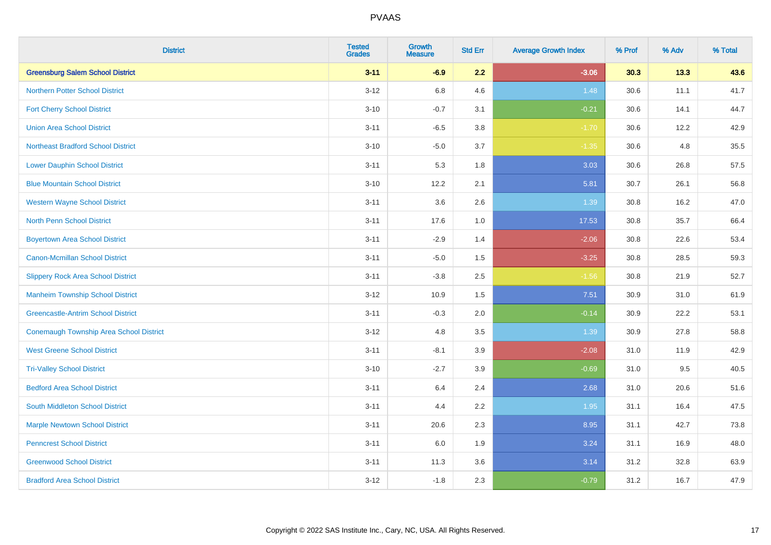| <b>District</b>                           | <b>Tested</b><br><b>Grades</b> | <b>Growth</b><br><b>Measure</b> | <b>Std Err</b> | <b>Average Growth Index</b> | % Prof | % Adv | % Total |
|-------------------------------------------|--------------------------------|---------------------------------|----------------|-----------------------------|--------|-------|---------|
| <b>Greensburg Salem School District</b>   | $3 - 11$                       | $-6.9$                          | 2.2            | $-3.06$                     | 30.3   | 13.3  | 43.6    |
| <b>Northern Potter School District</b>    | $3 - 12$                       | $6.8\,$                         | 4.6            | 1.48                        | 30.6   | 11.1  | 41.7    |
| <b>Fort Cherry School District</b>        | $3 - 10$                       | $-0.7$                          | 3.1            | $-0.21$                     | 30.6   | 14.1  | 44.7    |
| <b>Union Area School District</b>         | $3 - 11$                       | $-6.5$                          | 3.8            | $-1.70$                     | 30.6   | 12.2  | 42.9    |
| <b>Northeast Bradford School District</b> | $3 - 10$                       | $-5.0$                          | 3.7            | $-1.35$                     | 30.6   | 4.8   | 35.5    |
| <b>Lower Dauphin School District</b>      | $3 - 11$                       | 5.3                             | 1.8            | 3.03                        | 30.6   | 26.8  | 57.5    |
| <b>Blue Mountain School District</b>      | $3 - 10$                       | 12.2                            | 2.1            | 5.81                        | 30.7   | 26.1  | 56.8    |
| <b>Western Wayne School District</b>      | $3 - 11$                       | 3.6                             | 2.6            | 1.39                        | 30.8   | 16.2  | 47.0    |
| <b>North Penn School District</b>         | $3 - 11$                       | 17.6                            | 1.0            | 17.53                       | 30.8   | 35.7  | 66.4    |
| <b>Boyertown Area School District</b>     | $3 - 11$                       | $-2.9$                          | 1.4            | $-2.06$                     | 30.8   | 22.6  | 53.4    |
| <b>Canon-Mcmillan School District</b>     | $3 - 11$                       | $-5.0$                          | 1.5            | $-3.25$                     | 30.8   | 28.5  | 59.3    |
| <b>Slippery Rock Area School District</b> | $3 - 11$                       | $-3.8$                          | 2.5            | $-1.56$                     | 30.8   | 21.9  | 52.7    |
| <b>Manheim Township School District</b>   | $3 - 12$                       | 10.9                            | 1.5            | 7.51                        | 30.9   | 31.0  | 61.9    |
| <b>Greencastle-Antrim School District</b> | $3 - 11$                       | $-0.3$                          | 2.0            | $-0.14$                     | 30.9   | 22.2  | 53.1    |
| Conemaugh Township Area School District   | $3 - 12$                       | 4.8                             | 3.5            | 1.39                        | 30.9   | 27.8  | 58.8    |
| <b>West Greene School District</b>        | $3 - 11$                       | $-8.1$                          | 3.9            | $-2.08$                     | 31.0   | 11.9  | 42.9    |
| <b>Tri-Valley School District</b>         | $3 - 10$                       | $-2.7$                          | 3.9            | $-0.69$                     | 31.0   | 9.5   | 40.5    |
| <b>Bedford Area School District</b>       | $3 - 11$                       | 6.4                             | 2.4            | 2.68                        | 31.0   | 20.6  | 51.6    |
| South Middleton School District           | $3 - 11$                       | 4.4                             | 2.2            | 1.95                        | 31.1   | 16.4  | 47.5    |
| <b>Marple Newtown School District</b>     | $3 - 11$                       | 20.6                            | 2.3            | 8.95                        | 31.1   | 42.7  | 73.8    |
| <b>Penncrest School District</b>          | $3 - 11$                       | 6.0                             | 1.9            | 3.24                        | 31.1   | 16.9  | 48.0    |
| <b>Greenwood School District</b>          | $3 - 11$                       | 11.3                            | 3.6            | 3.14                        | 31.2   | 32.8  | 63.9    |
| <b>Bradford Area School District</b>      | $3 - 12$                       | $-1.8$                          | 2.3            | $-0.79$                     | 31.2   | 16.7  | 47.9    |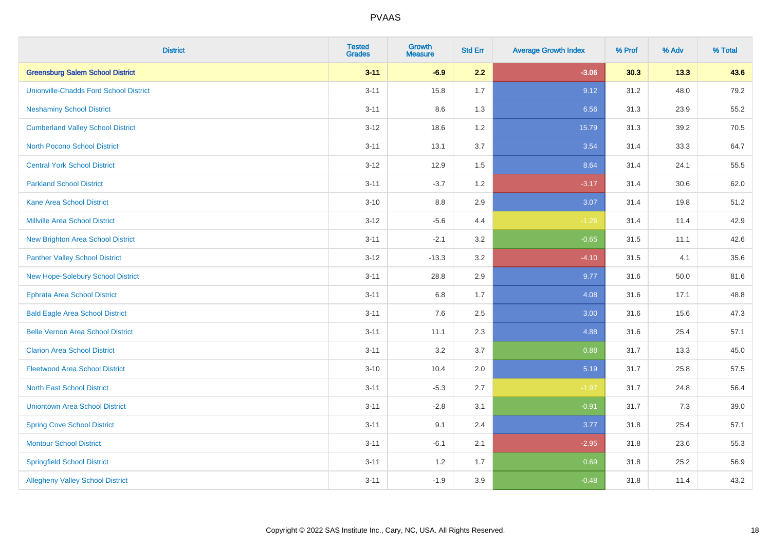| <b>District</b>                               | <b>Tested</b><br><b>Grades</b> | Growth<br><b>Measure</b> | <b>Std Err</b> | <b>Average Growth Index</b> | % Prof | % Adv | % Total |
|-----------------------------------------------|--------------------------------|--------------------------|----------------|-----------------------------|--------|-------|---------|
| <b>Greensburg Salem School District</b>       | $3 - 11$                       | $-6.9$                   | 2.2            | $-3.06$                     | 30.3   | 13.3  | 43.6    |
| <b>Unionville-Chadds Ford School District</b> | $3 - 11$                       | 15.8                     | 1.7            | 9.12                        | 31.2   | 48.0  | 79.2    |
| <b>Neshaminy School District</b>              | $3 - 11$                       | 8.6                      | 1.3            | 6.56                        | 31.3   | 23.9  | 55.2    |
| <b>Cumberland Valley School District</b>      | $3 - 12$                       | 18.6                     | 1.2            | 15.79                       | 31.3   | 39.2  | 70.5    |
| <b>North Pocono School District</b>           | $3 - 11$                       | 13.1                     | 3.7            | 3.54                        | 31.4   | 33.3  | 64.7    |
| <b>Central York School District</b>           | $3 - 12$                       | 12.9                     | 1.5            | 8.64                        | 31.4   | 24.1  | 55.5    |
| <b>Parkland School District</b>               | $3 - 11$                       | $-3.7$                   | 1.2            | $-3.17$                     | 31.4   | 30.6  | 62.0    |
| <b>Kane Area School District</b>              | $3 - 10$                       | $8.8\,$                  | 2.9            | 3.07                        | 31.4   | 19.8  | 51.2    |
| <b>Millville Area School District</b>         | $3 - 12$                       | $-5.6$                   | 4.4            | $-1.26$                     | 31.4   | 11.4  | 42.9    |
| <b>New Brighton Area School District</b>      | $3 - 11$                       | $-2.1$                   | 3.2            | $-0.65$                     | 31.5   | 11.1  | 42.6    |
| <b>Panther Valley School District</b>         | $3 - 12$                       | $-13.3$                  | 3.2            | $-4.10$                     | 31.5   | 4.1   | 35.6    |
| New Hope-Solebury School District             | $3 - 11$                       | 28.8                     | 2.9            | 9.77                        | 31.6   | 50.0  | 81.6    |
| <b>Ephrata Area School District</b>           | $3 - 11$                       | 6.8                      | 1.7            | 4.08                        | 31.6   | 17.1  | 48.8    |
| <b>Bald Eagle Area School District</b>        | $3 - 11$                       | 7.6                      | 2.5            | 3.00                        | 31.6   | 15.6  | 47.3    |
| <b>Belle Vernon Area School District</b>      | $3 - 11$                       | 11.1                     | 2.3            | 4.88                        | 31.6   | 25.4  | 57.1    |
| <b>Clarion Area School District</b>           | $3 - 11$                       | 3.2                      | 3.7            | 0.88                        | 31.7   | 13.3  | 45.0    |
| <b>Fleetwood Area School District</b>         | $3 - 10$                       | 10.4                     | 2.0            | 5.19                        | 31.7   | 25.8  | 57.5    |
| <b>North East School District</b>             | $3 - 11$                       | $-5.3$                   | 2.7            | $-1.97$                     | 31.7   | 24.8  | 56.4    |
| <b>Uniontown Area School District</b>         | $3 - 11$                       | $-2.8$                   | 3.1            | $-0.91$                     | 31.7   | 7.3   | 39.0    |
| <b>Spring Cove School District</b>            | $3 - 11$                       | 9.1                      | 2.4            | 3.77                        | 31.8   | 25.4  | 57.1    |
| <b>Montour School District</b>                | $3 - 11$                       | $-6.1$                   | 2.1            | $-2.95$                     | 31.8   | 23.6  | 55.3    |
| <b>Springfield School District</b>            | $3 - 11$                       | 1.2                      | 1.7            | 0.69                        | 31.8   | 25.2  | 56.9    |
| <b>Allegheny Valley School District</b>       | $3 - 11$                       | $-1.9$                   | 3.9            | $-0.48$                     | 31.8   | 11.4  | 43.2    |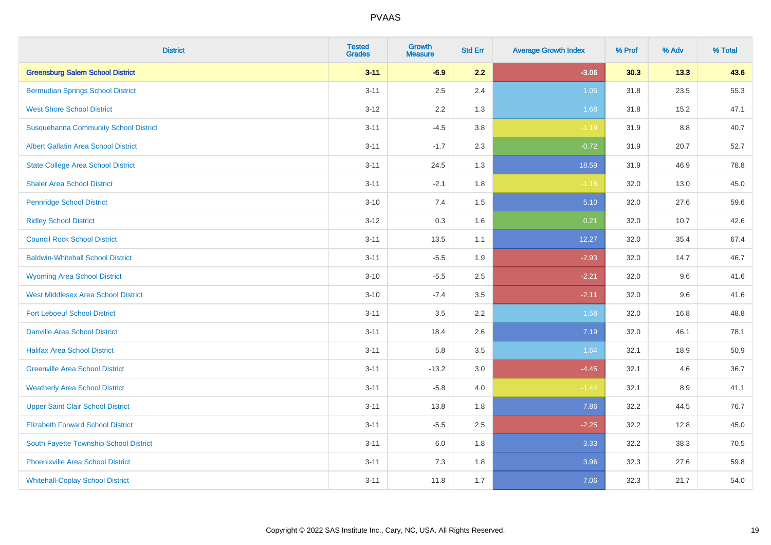| <b>District</b>                              | <b>Tested</b><br><b>Grades</b> | <b>Growth</b><br><b>Measure</b> | <b>Std Err</b> | <b>Average Growth Index</b> | % Prof | % Adv   | % Total |
|----------------------------------------------|--------------------------------|---------------------------------|----------------|-----------------------------|--------|---------|---------|
| <b>Greensburg Salem School District</b>      | $3 - 11$                       | $-6.9$                          | 2.2            | $-3.06$                     | 30.3   | 13.3    | 43.6    |
| <b>Bermudian Springs School District</b>     | $3 - 11$                       | 2.5                             | 2.4            | 1.05                        | 31.8   | 23.5    | 55.3    |
| <b>West Shore School District</b>            | $3 - 12$                       | 2.2                             | 1.3            | 1.68                        | 31.8   | 15.2    | 47.1    |
| <b>Susquehanna Community School District</b> | $3 - 11$                       | $-4.5$                          | 3.8            | $-1.19$                     | 31.9   | 8.8     | 40.7    |
| <b>Albert Gallatin Area School District</b>  | $3 - 11$                       | $-1.7$                          | 2.3            | $-0.72$                     | 31.9   | 20.7    | 52.7    |
| <b>State College Area School District</b>    | $3 - 11$                       | 24.5                            | 1.3            | 18.59                       | 31.9   | 46.9    | 78.8    |
| <b>Shaler Area School District</b>           | $3 - 11$                       | $-2.1$                          | 1.8            | $-1.18$                     | 32.0   | 13.0    | 45.0    |
| <b>Pennridge School District</b>             | $3 - 10$                       | 7.4                             | 1.5            | 5.10                        | 32.0   | 27.6    | 59.6    |
| <b>Ridley School District</b>                | $3 - 12$                       | 0.3                             | 1.6            | 0.21                        | 32.0   | 10.7    | 42.6    |
| <b>Council Rock School District</b>          | $3 - 11$                       | 13.5                            | 1.1            | 12.27                       | 32.0   | 35.4    | 67.4    |
| <b>Baldwin-Whitehall School District</b>     | $3 - 11$                       | $-5.5$                          | 1.9            | $-2.93$                     | 32.0   | 14.7    | 46.7    |
| <b>Wyoming Area School District</b>          | $3 - 10$                       | $-5.5$                          | 2.5            | $-2.21$                     | 32.0   | 9.6     | 41.6    |
| West Middlesex Area School District          | $3 - 10$                       | $-7.4$                          | 3.5            | $-2.11$                     | 32.0   | $9.6\,$ | 41.6    |
| <b>Fort Leboeuf School District</b>          | $3 - 11$                       | 3.5                             | 2.2            | 1.58                        | 32.0   | 16.8    | 48.8    |
| <b>Danville Area School District</b>         | $3 - 11$                       | 18.4                            | 2.6            | 7.19                        | 32.0   | 46.1    | 78.1    |
| <b>Halifax Area School District</b>          | $3 - 11$                       | 5.8                             | 3.5            | 1.64                        | 32.1   | 18.9    | 50.9    |
| <b>Greenville Area School District</b>       | $3 - 11$                       | $-13.2$                         | 3.0            | $-4.45$                     | 32.1   | 4.6     | 36.7    |
| <b>Weatherly Area School District</b>        | $3 - 11$                       | $-5.8$                          | 4.0            | $-1.44$                     | 32.1   | 8.9     | 41.1    |
| <b>Upper Saint Clair School District</b>     | $3 - 11$                       | 13.8                            | 1.8            | 7.86                        | 32.2   | 44.5    | 76.7    |
| <b>Elizabeth Forward School District</b>     | $3 - 11$                       | $-5.5$                          | 2.5            | $-2.25$                     | 32.2   | 12.8    | 45.0    |
| South Fayette Township School District       | $3 - 11$                       | 6.0                             | 1.8            | 3.33                        | 32.2   | 38.3    | 70.5    |
| <b>Phoenixville Area School District</b>     | $3 - 11$                       | 7.3                             | 1.8            | 3.96                        | 32.3   | 27.6    | 59.8    |
| <b>Whitehall-Coplay School District</b>      | $3 - 11$                       | 11.8                            | 1.7            | 7.06                        | 32.3   | 21.7    | 54.0    |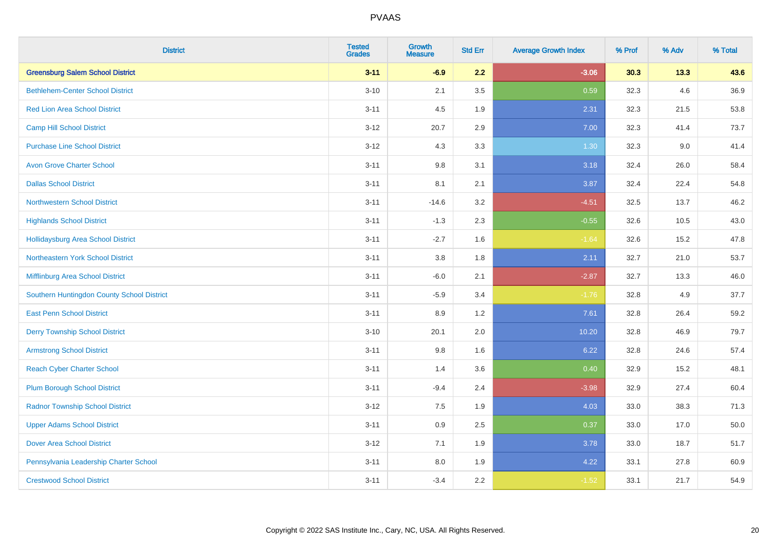| <b>District</b>                            | <b>Tested</b><br><b>Grades</b> | <b>Growth</b><br><b>Measure</b> | <b>Std Err</b> | <b>Average Growth Index</b> | % Prof | % Adv | % Total |
|--------------------------------------------|--------------------------------|---------------------------------|----------------|-----------------------------|--------|-------|---------|
| <b>Greensburg Salem School District</b>    | $3 - 11$                       | $-6.9$                          | 2.2            | $-3.06$                     | 30.3   | 13.3  | 43.6    |
| <b>Bethlehem-Center School District</b>    | $3 - 10$                       | 2.1                             | 3.5            | 0.59                        | 32.3   | 4.6   | 36.9    |
| <b>Red Lion Area School District</b>       | $3 - 11$                       | 4.5                             | 1.9            | 2.31                        | 32.3   | 21.5  | 53.8    |
| <b>Camp Hill School District</b>           | $3 - 12$                       | 20.7                            | 2.9            | 7.00                        | 32.3   | 41.4  | 73.7    |
| <b>Purchase Line School District</b>       | $3 - 12$                       | 4.3                             | 3.3            | 1.30                        | 32.3   | 9.0   | 41.4    |
| <b>Avon Grove Charter School</b>           | $3 - 11$                       | $9.8\,$                         | 3.1            | 3.18                        | 32.4   | 26.0  | 58.4    |
| <b>Dallas School District</b>              | $3 - 11$                       | 8.1                             | 2.1            | 3.87                        | 32.4   | 22.4  | 54.8    |
| <b>Northwestern School District</b>        | $3 - 11$                       | $-14.6$                         | 3.2            | $-4.51$                     | 32.5   | 13.7  | 46.2    |
| <b>Highlands School District</b>           | $3 - 11$                       | $-1.3$                          | 2.3            | $-0.55$                     | 32.6   | 10.5  | 43.0    |
| <b>Hollidaysburg Area School District</b>  | $3 - 11$                       | $-2.7$                          | 1.6            | $-1.64$                     | 32.6   | 15.2  | 47.8    |
| Northeastern York School District          | $3 - 11$                       | 3.8                             | 1.8            | 2.11                        | 32.7   | 21.0  | 53.7    |
| Mifflinburg Area School District           | $3 - 11$                       | $-6.0$                          | 2.1            | $-2.87$                     | 32.7   | 13.3  | 46.0    |
| Southern Huntingdon County School District | $3 - 11$                       | $-5.9$                          | 3.4            | $-1.76$                     | 32.8   | 4.9   | 37.7    |
| <b>East Penn School District</b>           | $3 - 11$                       | 8.9                             | 1.2            | 7.61                        | 32.8   | 26.4  | 59.2    |
| <b>Derry Township School District</b>      | $3 - 10$                       | 20.1                            | 2.0            | 10.20                       | 32.8   | 46.9  | 79.7    |
| <b>Armstrong School District</b>           | $3 - 11$                       | 9.8                             | 1.6            | 6.22                        | 32.8   | 24.6  | 57.4    |
| <b>Reach Cyber Charter School</b>          | $3 - 11$                       | 1.4                             | 3.6            | 0.40                        | 32.9   | 15.2  | 48.1    |
| <b>Plum Borough School District</b>        | $3 - 11$                       | $-9.4$                          | 2.4            | $-3.98$                     | 32.9   | 27.4  | 60.4    |
| <b>Radnor Township School District</b>     | $3 - 12$                       | $7.5\,$                         | 1.9            | 4.03                        | 33.0   | 38.3  | 71.3    |
| <b>Upper Adams School District</b>         | $3 - 11$                       | 0.9                             | 2.5            | 0.37                        | 33.0   | 17.0  | 50.0    |
| <b>Dover Area School District</b>          | $3 - 12$                       | 7.1                             | 1.9            | 3.78                        | 33.0   | 18.7  | 51.7    |
| Pennsylvania Leadership Charter School     | $3 - 11$                       | $8.0\,$                         | 1.9            | 4.22                        | 33.1   | 27.8  | 60.9    |
| <b>Crestwood School District</b>           | $3 - 11$                       | $-3.4$                          | 2.2            | $-1.52$                     | 33.1   | 21.7  | 54.9    |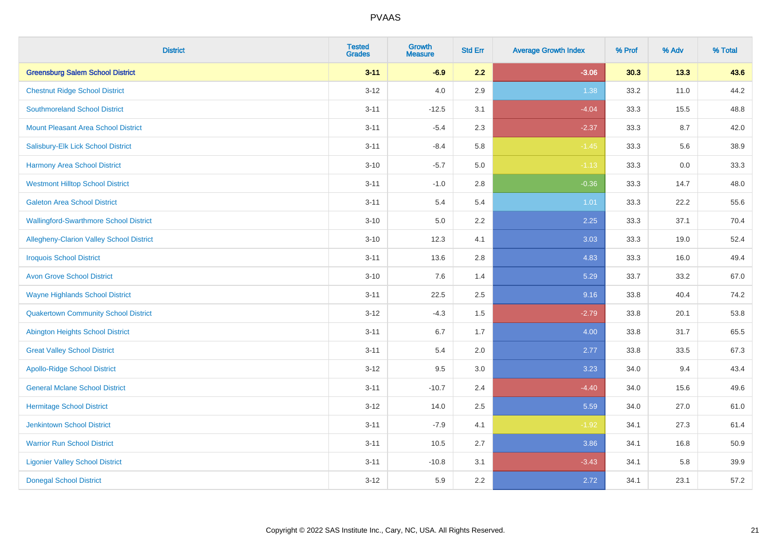| <b>District</b>                               | <b>Tested</b><br><b>Grades</b> | <b>Growth</b><br><b>Measure</b> | <b>Std Err</b> | <b>Average Growth Index</b> | % Prof | % Adv | % Total |
|-----------------------------------------------|--------------------------------|---------------------------------|----------------|-----------------------------|--------|-------|---------|
| <b>Greensburg Salem School District</b>       | $3 - 11$                       | $-6.9$                          | 2.2            | $-3.06$                     | 30.3   | 13.3  | 43.6    |
| <b>Chestnut Ridge School District</b>         | $3 - 12$                       | 4.0                             | 2.9            | 1.38                        | 33.2   | 11.0  | 44.2    |
| <b>Southmoreland School District</b>          | $3 - 11$                       | $-12.5$                         | 3.1            | $-4.04$                     | 33.3   | 15.5  | 48.8    |
| <b>Mount Pleasant Area School District</b>    | $3 - 11$                       | $-5.4$                          | 2.3            | $-2.37$                     | 33.3   | 8.7   | 42.0    |
| Salisbury-Elk Lick School District            | $3 - 11$                       | $-8.4$                          | 5.8            | $-1.45$                     | 33.3   | 5.6   | 38.9    |
| <b>Harmony Area School District</b>           | $3 - 10$                       | $-5.7$                          | 5.0            | $-1.13$                     | 33.3   | 0.0   | 33.3    |
| <b>Westmont Hilltop School District</b>       | $3 - 11$                       | $-1.0$                          | 2.8            | $-0.36$                     | 33.3   | 14.7  | 48.0    |
| <b>Galeton Area School District</b>           | $3 - 11$                       | 5.4                             | 5.4            | 1.01                        | 33.3   | 22.2  | 55.6    |
| <b>Wallingford-Swarthmore School District</b> | $3 - 10$                       | 5.0                             | 2.2            | 2.25                        | 33.3   | 37.1  | 70.4    |
| Allegheny-Clarion Valley School District      | $3 - 10$                       | 12.3                            | 4.1            | 3.03                        | 33.3   | 19.0  | 52.4    |
| <b>Iroquois School District</b>               | $3 - 11$                       | 13.6                            | 2.8            | 4.83                        | 33.3   | 16.0  | 49.4    |
| <b>Avon Grove School District</b>             | $3 - 10$                       | 7.6                             | 1.4            | 5.29                        | 33.7   | 33.2  | 67.0    |
| <b>Wayne Highlands School District</b>        | $3 - 11$                       | 22.5                            | 2.5            | 9.16                        | 33.8   | 40.4  | 74.2    |
| <b>Quakertown Community School District</b>   | $3 - 12$                       | $-4.3$                          | 1.5            | $-2.79$                     | 33.8   | 20.1  | 53.8    |
| <b>Abington Heights School District</b>       | $3 - 11$                       | $6.7\,$                         | 1.7            | 4.00                        | 33.8   | 31.7  | 65.5    |
| <b>Great Valley School District</b>           | $3 - 11$                       | 5.4                             | 2.0            | 2.77                        | 33.8   | 33.5  | 67.3    |
| <b>Apollo-Ridge School District</b>           | $3 - 12$                       | 9.5                             | 3.0            | 3.23                        | 34.0   | 9.4   | 43.4    |
| <b>General Mclane School District</b>         | $3 - 11$                       | $-10.7$                         | 2.4            | $-4.40$                     | 34.0   | 15.6  | 49.6    |
| <b>Hermitage School District</b>              | $3 - 12$                       | 14.0                            | 2.5            | 5.59                        | 34.0   | 27.0  | 61.0    |
| <b>Jenkintown School District</b>             | $3 - 11$                       | $-7.9$                          | 4.1            | $-1.92$                     | 34.1   | 27.3  | 61.4    |
| <b>Warrior Run School District</b>            | $3 - 11$                       | 10.5                            | 2.7            | 3.86                        | 34.1   | 16.8  | 50.9    |
| <b>Ligonier Valley School District</b>        | $3 - 11$                       | $-10.8$                         | 3.1            | $-3.43$                     | 34.1   | 5.8   | 39.9    |
| <b>Donegal School District</b>                | $3 - 12$                       | 5.9                             | 2.2            | 2.72                        | 34.1   | 23.1  | 57.2    |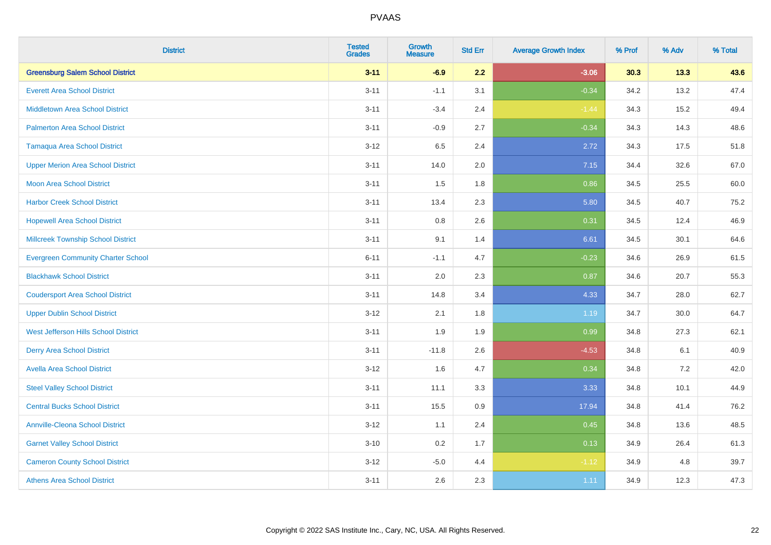| <b>District</b>                           | <b>Tested</b><br><b>Grades</b> | <b>Growth</b><br><b>Measure</b> | <b>Std Err</b> | <b>Average Growth Index</b> | % Prof | % Adv | % Total |
|-------------------------------------------|--------------------------------|---------------------------------|----------------|-----------------------------|--------|-------|---------|
| <b>Greensburg Salem School District</b>   | $3 - 11$                       | $-6.9$                          | 2.2            | $-3.06$                     | 30.3   | 13.3  | 43.6    |
| <b>Everett Area School District</b>       | $3 - 11$                       | $-1.1$                          | 3.1            | $-0.34$                     | 34.2   | 13.2  | 47.4    |
| <b>Middletown Area School District</b>    | $3 - 11$                       | $-3.4$                          | 2.4            | $-1.44$                     | 34.3   | 15.2  | 49.4    |
| <b>Palmerton Area School District</b>     | $3 - 11$                       | $-0.9$                          | 2.7            | $-0.34$                     | 34.3   | 14.3  | 48.6    |
| <b>Tamaqua Area School District</b>       | $3 - 12$                       | 6.5                             | 2.4            | 2.72                        | 34.3   | 17.5  | 51.8    |
| <b>Upper Merion Area School District</b>  | $3 - 11$                       | 14.0                            | 2.0            | 7.15                        | 34.4   | 32.6  | 67.0    |
| Moon Area School District                 | $3 - 11$                       | 1.5                             | 1.8            | 0.86                        | 34.5   | 25.5  | 60.0    |
| <b>Harbor Creek School District</b>       | $3 - 11$                       | 13.4                            | 2.3            | 5.80                        | 34.5   | 40.7  | 75.2    |
| <b>Hopewell Area School District</b>      | $3 - 11$                       | 0.8                             | 2.6            | 0.31                        | 34.5   | 12.4  | 46.9    |
| <b>Millcreek Township School District</b> | $3 - 11$                       | 9.1                             | 1.4            | 6.61                        | 34.5   | 30.1  | 64.6    |
| <b>Evergreen Community Charter School</b> | $6 - 11$                       | $-1.1$                          | 4.7            | $-0.23$                     | 34.6   | 26.9  | 61.5    |
| <b>Blackhawk School District</b>          | $3 - 11$                       | 2.0                             | 2.3            | 0.87                        | 34.6   | 20.7  | 55.3    |
| <b>Coudersport Area School District</b>   | $3 - 11$                       | 14.8                            | 3.4            | 4.33                        | 34.7   | 28.0  | 62.7    |
| <b>Upper Dublin School District</b>       | $3 - 12$                       | 2.1                             | 1.8            | 1.19                        | 34.7   | 30.0  | 64.7    |
| West Jefferson Hills School District      | $3 - 11$                       | 1.9                             | 1.9            | 0.99                        | 34.8   | 27.3  | 62.1    |
| <b>Derry Area School District</b>         | $3 - 11$                       | $-11.8$                         | 2.6            | $-4.53$                     | 34.8   | 6.1   | 40.9    |
| <b>Avella Area School District</b>        | $3 - 12$                       | 1.6                             | 4.7            | 0.34                        | 34.8   | 7.2   | 42.0    |
| <b>Steel Valley School District</b>       | $3 - 11$                       | 11.1                            | 3.3            | 3.33                        | 34.8   | 10.1  | 44.9    |
| <b>Central Bucks School District</b>      | $3 - 11$                       | 15.5                            | 0.9            | 17.94                       | 34.8   | 41.4  | 76.2    |
| <b>Annville-Cleona School District</b>    | $3 - 12$                       | 1.1                             | 2.4            | 0.45                        | 34.8   | 13.6  | 48.5    |
| <b>Garnet Valley School District</b>      | $3 - 10$                       | 0.2                             | 1.7            | 0.13                        | 34.9   | 26.4  | 61.3    |
| <b>Cameron County School District</b>     | $3 - 12$                       | $-5.0$                          | 4.4            | $-1.12$                     | 34.9   | 4.8   | 39.7    |
| <b>Athens Area School District</b>        | $3 - 11$                       | 2.6                             | 2.3            | 1.11                        | 34.9   | 12.3  | 47.3    |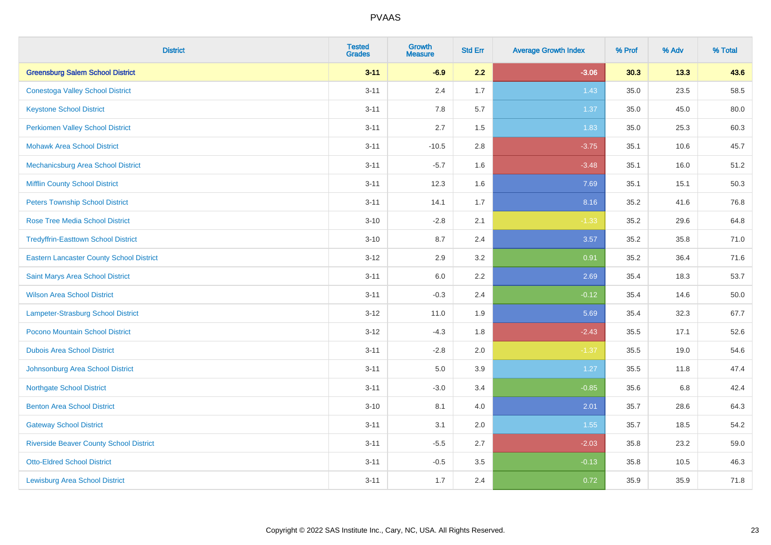| <b>District</b>                                 | <b>Tested</b><br><b>Grades</b> | <b>Growth</b><br><b>Measure</b> | <b>Std Err</b> | <b>Average Growth Index</b> | % Prof | % Adv   | % Total |
|-------------------------------------------------|--------------------------------|---------------------------------|----------------|-----------------------------|--------|---------|---------|
| <b>Greensburg Salem School District</b>         | $3 - 11$                       | $-6.9$                          | 2.2            | $-3.06$                     | 30.3   | 13.3    | 43.6    |
| <b>Conestoga Valley School District</b>         | $3 - 11$                       | 2.4                             | 1.7            | 1.43                        | 35.0   | 23.5    | 58.5    |
| <b>Keystone School District</b>                 | $3 - 11$                       | 7.8                             | 5.7            | 1.37                        | 35.0   | 45.0    | 80.0    |
| <b>Perkiomen Valley School District</b>         | $3 - 11$                       | 2.7                             | 1.5            | 1.83                        | 35.0   | 25.3    | 60.3    |
| <b>Mohawk Area School District</b>              | $3 - 11$                       | $-10.5$                         | 2.8            | $-3.75$                     | 35.1   | 10.6    | 45.7    |
| Mechanicsburg Area School District              | $3 - 11$                       | $-5.7$                          | 1.6            | $-3.48$                     | 35.1   | 16.0    | 51.2    |
| <b>Mifflin County School District</b>           | $3 - 11$                       | 12.3                            | 1.6            | 7.69                        | 35.1   | 15.1    | 50.3    |
| <b>Peters Township School District</b>          | $3 - 11$                       | 14.1                            | 1.7            | 8.16                        | 35.2   | 41.6    | 76.8    |
| <b>Rose Tree Media School District</b>          | $3 - 10$                       | $-2.8$                          | 2.1            | $-1.33$                     | 35.2   | 29.6    | 64.8    |
| <b>Tredyffrin-Easttown School District</b>      | $3 - 10$                       | 8.7                             | 2.4            | 3.57                        | 35.2   | 35.8    | 71.0    |
| <b>Eastern Lancaster County School District</b> | $3 - 12$                       | 2.9                             | 3.2            | 0.91                        | 35.2   | 36.4    | 71.6    |
| Saint Marys Area School District                | $3 - 11$                       | $6.0\,$                         | 2.2            | 2.69                        | 35.4   | 18.3    | 53.7    |
| <b>Wilson Area School District</b>              | $3 - 11$                       | $-0.3$                          | 2.4            | $-0.12$                     | 35.4   | 14.6    | 50.0    |
| Lampeter-Strasburg School District              | $3 - 12$                       | 11.0                            | 1.9            | 5.69                        | 35.4   | 32.3    | 67.7    |
| Pocono Mountain School District                 | $3 - 12$                       | $-4.3$                          | 1.8            | $-2.43$                     | 35.5   | 17.1    | 52.6    |
| <b>Dubois Area School District</b>              | $3 - 11$                       | $-2.8$                          | 2.0            | $-1.37$                     | 35.5   | 19.0    | 54.6    |
| Johnsonburg Area School District                | $3 - 11$                       | 5.0                             | 3.9            | 1.27                        | 35.5   | 11.8    | 47.4    |
| <b>Northgate School District</b>                | $3 - 11$                       | $-3.0$                          | 3.4            | $-0.85$                     | 35.6   | $6.8\,$ | 42.4    |
| <b>Benton Area School District</b>              | $3 - 10$                       | 8.1                             | 4.0            | 2.01                        | 35.7   | 28.6    | 64.3    |
| <b>Gateway School District</b>                  | $3 - 11$                       | 3.1                             | 2.0            | 1.55                        | 35.7   | 18.5    | 54.2    |
| <b>Riverside Beaver County School District</b>  | $3 - 11$                       | $-5.5$                          | 2.7            | $-2.03$                     | 35.8   | 23.2    | 59.0    |
| <b>Otto-Eldred School District</b>              | $3 - 11$                       | $-0.5$                          | 3.5            | $-0.13$                     | 35.8   | 10.5    | 46.3    |
| <b>Lewisburg Area School District</b>           | $3 - 11$                       | 1.7                             | 2.4            | 0.72                        | 35.9   | 35.9    | 71.8    |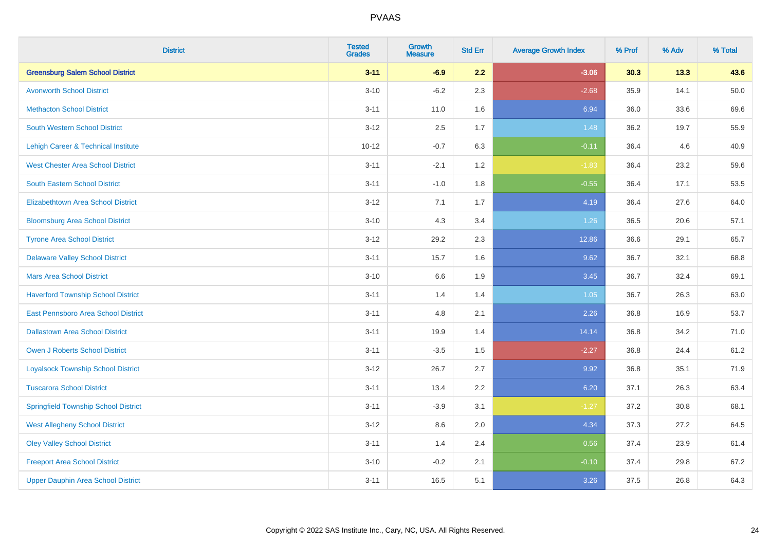| <b>District</b>                             | <b>Tested</b><br><b>Grades</b> | <b>Growth</b><br><b>Measure</b> | <b>Std Err</b> | <b>Average Growth Index</b> | % Prof | % Adv | % Total  |
|---------------------------------------------|--------------------------------|---------------------------------|----------------|-----------------------------|--------|-------|----------|
| <b>Greensburg Salem School District</b>     | $3 - 11$                       | $-6.9$                          | 2.2            | $-3.06$                     | 30.3   | 13.3  | 43.6     |
| <b>Avonworth School District</b>            | $3 - 10$                       | $-6.2$                          | 2.3            | $-2.68$                     | 35.9   | 14.1  | $50.0\,$ |
| <b>Methacton School District</b>            | $3 - 11$                       | 11.0                            | 1.6            | 6.94                        | 36.0   | 33.6  | 69.6     |
| <b>South Western School District</b>        | $3 - 12$                       | 2.5                             | 1.7            | 1.48                        | 36.2   | 19.7  | 55.9     |
| Lehigh Career & Technical Institute         | $10 - 12$                      | $-0.7$                          | 6.3            | $-0.11$                     | 36.4   | 4.6   | 40.9     |
| <b>West Chester Area School District</b>    | $3 - 11$                       | $-2.1$                          | 1.2            | $-1.83$                     | 36.4   | 23.2  | 59.6     |
| South Eastern School District               | $3 - 11$                       | $-1.0$                          | 1.8            | $-0.55$                     | 36.4   | 17.1  | 53.5     |
| <b>Elizabethtown Area School District</b>   | $3 - 12$                       | 7.1                             | 1.7            | 4.19                        | 36.4   | 27.6  | 64.0     |
| <b>Bloomsburg Area School District</b>      | $3 - 10$                       | 4.3                             | 3.4            | 1.26                        | 36.5   | 20.6  | 57.1     |
| <b>Tyrone Area School District</b>          | $3 - 12$                       | 29.2                            | 2.3            | 12.86                       | 36.6   | 29.1  | 65.7     |
| <b>Delaware Valley School District</b>      | $3 - 11$                       | 15.7                            | 1.6            | 9.62                        | 36.7   | 32.1  | 68.8     |
| <b>Mars Area School District</b>            | $3 - 10$                       | 6.6                             | 1.9            | 3.45                        | 36.7   | 32.4  | 69.1     |
| <b>Haverford Township School District</b>   | $3 - 11$                       | 1.4                             | 1.4            | 1.05                        | 36.7   | 26.3  | 63.0     |
| East Pennsboro Area School District         | $3 - 11$                       | 4.8                             | 2.1            | 2.26                        | 36.8   | 16.9  | 53.7     |
| <b>Dallastown Area School District</b>      | $3 - 11$                       | 19.9                            | 1.4            | 14.14                       | 36.8   | 34.2  | 71.0     |
| <b>Owen J Roberts School District</b>       | $3 - 11$                       | $-3.5$                          | 1.5            | $-2.27$                     | 36.8   | 24.4  | 61.2     |
| <b>Loyalsock Township School District</b>   | $3 - 12$                       | 26.7                            | 2.7            | 9.92                        | 36.8   | 35.1  | 71.9     |
| <b>Tuscarora School District</b>            | $3 - 11$                       | 13.4                            | 2.2            | 6.20                        | 37.1   | 26.3  | 63.4     |
| <b>Springfield Township School District</b> | $3 - 11$                       | $-3.9$                          | 3.1            | $-1.27$                     | 37.2   | 30.8  | 68.1     |
| <b>West Allegheny School District</b>       | $3 - 12$                       | 8.6                             | 2.0            | 4.34                        | 37.3   | 27.2  | 64.5     |
| <b>Oley Valley School District</b>          | $3 - 11$                       | 1.4                             | 2.4            | 0.56                        | 37.4   | 23.9  | 61.4     |
| <b>Freeport Area School District</b>        | $3 - 10$                       | $-0.2$                          | 2.1            | $-0.10$                     | 37.4   | 29.8  | 67.2     |
| <b>Upper Dauphin Area School District</b>   | $3 - 11$                       | 16.5                            | 5.1            | 3.26                        | 37.5   | 26.8  | 64.3     |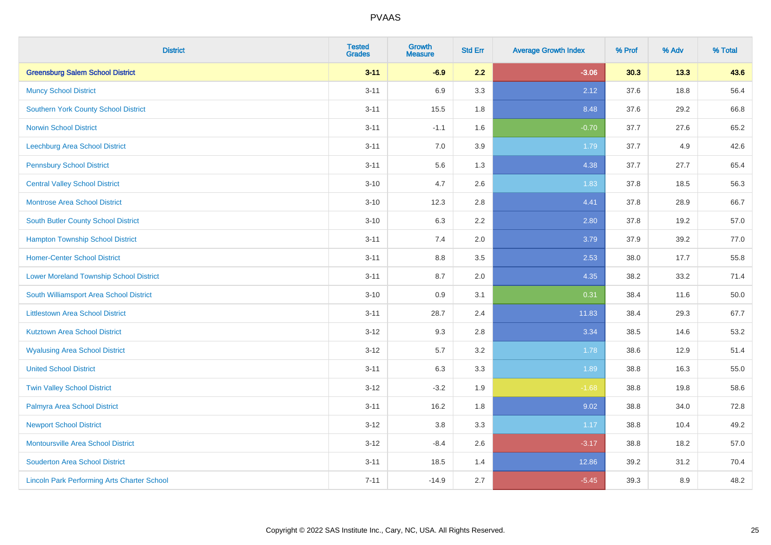| <b>District</b>                                    | <b>Tested</b><br><b>Grades</b> | <b>Growth</b><br><b>Measure</b> | <b>Std Err</b> | <b>Average Growth Index</b> | % Prof | % Adv | % Total |
|----------------------------------------------------|--------------------------------|---------------------------------|----------------|-----------------------------|--------|-------|---------|
| <b>Greensburg Salem School District</b>            | $3 - 11$                       | $-6.9$                          | 2.2            | $-3.06$                     | 30.3   | 13.3  | 43.6    |
| <b>Muncy School District</b>                       | $3 - 11$                       | 6.9                             | 3.3            | 2.12                        | 37.6   | 18.8  | 56.4    |
| <b>Southern York County School District</b>        | $3 - 11$                       | 15.5                            | 1.8            | 8.48                        | 37.6   | 29.2  | 66.8    |
| <b>Norwin School District</b>                      | $3 - 11$                       | $-1.1$                          | 1.6            | $-0.70$                     | 37.7   | 27.6  | 65.2    |
| <b>Leechburg Area School District</b>              | $3 - 11$                       | 7.0                             | 3.9            | 1.79                        | 37.7   | 4.9   | 42.6    |
| <b>Pennsbury School District</b>                   | $3 - 11$                       | 5.6                             | 1.3            | 4.38                        | 37.7   | 27.7  | 65.4    |
| <b>Central Valley School District</b>              | $3 - 10$                       | 4.7                             | 2.6            | 1.83                        | 37.8   | 18.5  | 56.3    |
| <b>Montrose Area School District</b>               | $3 - 10$                       | 12.3                            | 2.8            | 4.41                        | 37.8   | 28.9  | 66.7    |
| South Butler County School District                | $3 - 10$                       | 6.3                             | 2.2            | 2.80                        | 37.8   | 19.2  | 57.0    |
| <b>Hampton Township School District</b>            | $3 - 11$                       | 7.4                             | 2.0            | 3.79                        | 37.9   | 39.2  | 77.0    |
| <b>Homer-Center School District</b>                | $3 - 11$                       | 8.8                             | 3.5            | 2.53                        | 38.0   | 17.7  | 55.8    |
| <b>Lower Moreland Township School District</b>     | $3 - 11$                       | 8.7                             | 2.0            | 4.35                        | 38.2   | 33.2  | 71.4    |
| South Williamsport Area School District            | $3 - 10$                       | $0.9\,$                         | 3.1            | 0.31                        | 38.4   | 11.6  | 50.0    |
| <b>Littlestown Area School District</b>            | $3 - 11$                       | 28.7                            | 2.4            | 11.83                       | 38.4   | 29.3  | 67.7    |
| <b>Kutztown Area School District</b>               | $3 - 12$                       | 9.3                             | 2.8            | 3.34                        | 38.5   | 14.6  | 53.2    |
| <b>Wyalusing Area School District</b>              | $3 - 12$                       | 5.7                             | 3.2            | 1.78                        | 38.6   | 12.9  | 51.4    |
| <b>United School District</b>                      | $3 - 11$                       | 6.3                             | 3.3            | 1.89                        | 38.8   | 16.3  | 55.0    |
| <b>Twin Valley School District</b>                 | $3 - 12$                       | $-3.2$                          | 1.9            | $-1.68$                     | 38.8   | 19.8  | 58.6    |
| Palmyra Area School District                       | $3 - 11$                       | 16.2                            | 1.8            | 9.02                        | 38.8   | 34.0  | 72.8    |
| <b>Newport School District</b>                     | $3 - 12$                       | 3.8                             | 3.3            | 1.17                        | 38.8   | 10.4  | 49.2    |
| Montoursville Area School District                 | $3-12$                         | $-8.4$                          | 2.6            | $-3.17$                     | 38.8   | 18.2  | 57.0    |
| <b>Souderton Area School District</b>              | $3 - 11$                       | 18.5                            | 1.4            | 12.86                       | 39.2   | 31.2  | 70.4    |
| <b>Lincoln Park Performing Arts Charter School</b> | $7 - 11$                       | $-14.9$                         | 2.7            | $-5.45$                     | 39.3   | 8.9   | 48.2    |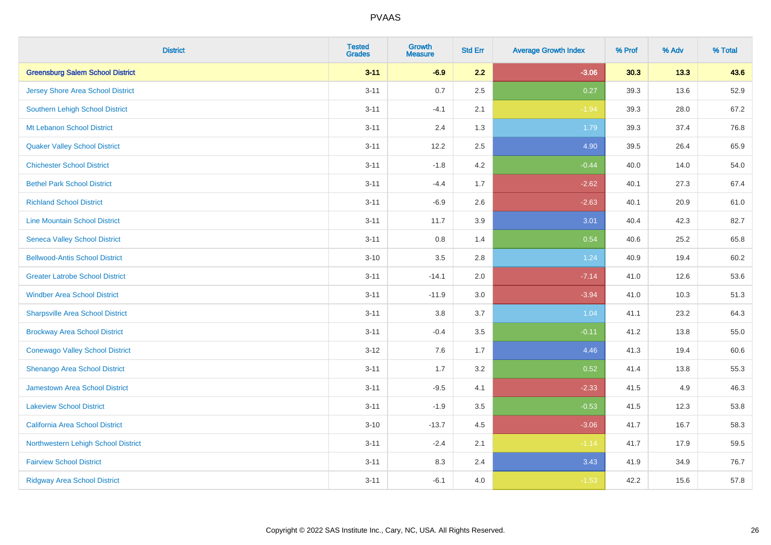| <b>District</b>                         | <b>Tested</b><br><b>Grades</b> | <b>Growth</b><br><b>Measure</b> | <b>Std Err</b> | <b>Average Growth Index</b> | % Prof | % Adv | % Total |
|-----------------------------------------|--------------------------------|---------------------------------|----------------|-----------------------------|--------|-------|---------|
| <b>Greensburg Salem School District</b> | $3 - 11$                       | $-6.9$                          | 2.2            | $-3.06$                     | 30.3   | 13.3  | 43.6    |
| Jersey Shore Area School District       | $3 - 11$                       | 0.7                             | 2.5            | 0.27                        | 39.3   | 13.6  | 52.9    |
| Southern Lehigh School District         | $3 - 11$                       | $-4.1$                          | 2.1            | $-1.94$                     | 39.3   | 28.0  | 67.2    |
| Mt Lebanon School District              | $3 - 11$                       | 2.4                             | 1.3            | 1.79                        | 39.3   | 37.4  | 76.8    |
| <b>Quaker Valley School District</b>    | $3 - 11$                       | 12.2                            | 2.5            | 4.90                        | 39.5   | 26.4  | 65.9    |
| <b>Chichester School District</b>       | $3 - 11$                       | $-1.8$                          | 4.2            | $-0.44$                     | 40.0   | 14.0  | 54.0    |
| <b>Bethel Park School District</b>      | $3 - 11$                       | $-4.4$                          | 1.7            | $-2.62$                     | 40.1   | 27.3  | 67.4    |
| <b>Richland School District</b>         | $3 - 11$                       | $-6.9$                          | 2.6            | $-2.63$                     | 40.1   | 20.9  | 61.0    |
| <b>Line Mountain School District</b>    | $3 - 11$                       | 11.7                            | 3.9            | 3.01                        | 40.4   | 42.3  | 82.7    |
| <b>Seneca Valley School District</b>    | $3 - 11$                       | 0.8                             | 1.4            | 0.54                        | 40.6   | 25.2  | 65.8    |
| <b>Bellwood-Antis School District</b>   | $3 - 10$                       | 3.5                             | 2.8            | 1.24                        | 40.9   | 19.4  | 60.2    |
| <b>Greater Latrobe School District</b>  | $3 - 11$                       | $-14.1$                         | 2.0            | $-7.14$                     | 41.0   | 12.6  | 53.6    |
| <b>Windber Area School District</b>     | $3 - 11$                       | $-11.9$                         | 3.0            | $-3.94$                     | 41.0   | 10.3  | 51.3    |
| <b>Sharpsville Area School District</b> | $3 - 11$                       | $3.8\,$                         | 3.7            | 1.04                        | 41.1   | 23.2  | 64.3    |
| <b>Brockway Area School District</b>    | $3 - 11$                       | $-0.4$                          | 3.5            | $-0.11$                     | 41.2   | 13.8  | 55.0    |
| <b>Conewago Valley School District</b>  | $3 - 12$                       | 7.6                             | 1.7            | 4.46                        | 41.3   | 19.4  | 60.6    |
| Shenango Area School District           | $3 - 11$                       | 1.7                             | 3.2            | 0.52                        | 41.4   | 13.8  | 55.3    |
| Jamestown Area School District          | $3 - 11$                       | $-9.5$                          | 4.1            | $-2.33$                     | 41.5   | 4.9   | 46.3    |
| <b>Lakeview School District</b>         | $3 - 11$                       | $-1.9$                          | 3.5            | $-0.53$                     | 41.5   | 12.3  | 53.8    |
| California Area School District         | $3 - 10$                       | $-13.7$                         | 4.5            | $-3.06$                     | 41.7   | 16.7  | 58.3    |
| Northwestern Lehigh School District     | $3 - 11$                       | $-2.4$                          | 2.1            | $-1.14$                     | 41.7   | 17.9  | 59.5    |
| <b>Fairview School District</b>         | $3 - 11$                       | 8.3                             | 2.4            | 3.43                        | 41.9   | 34.9  | 76.7    |
| <b>Ridgway Area School District</b>     | $3 - 11$                       | $-6.1$                          | 4.0            | $-1.53$                     | 42.2   | 15.6  | 57.8    |